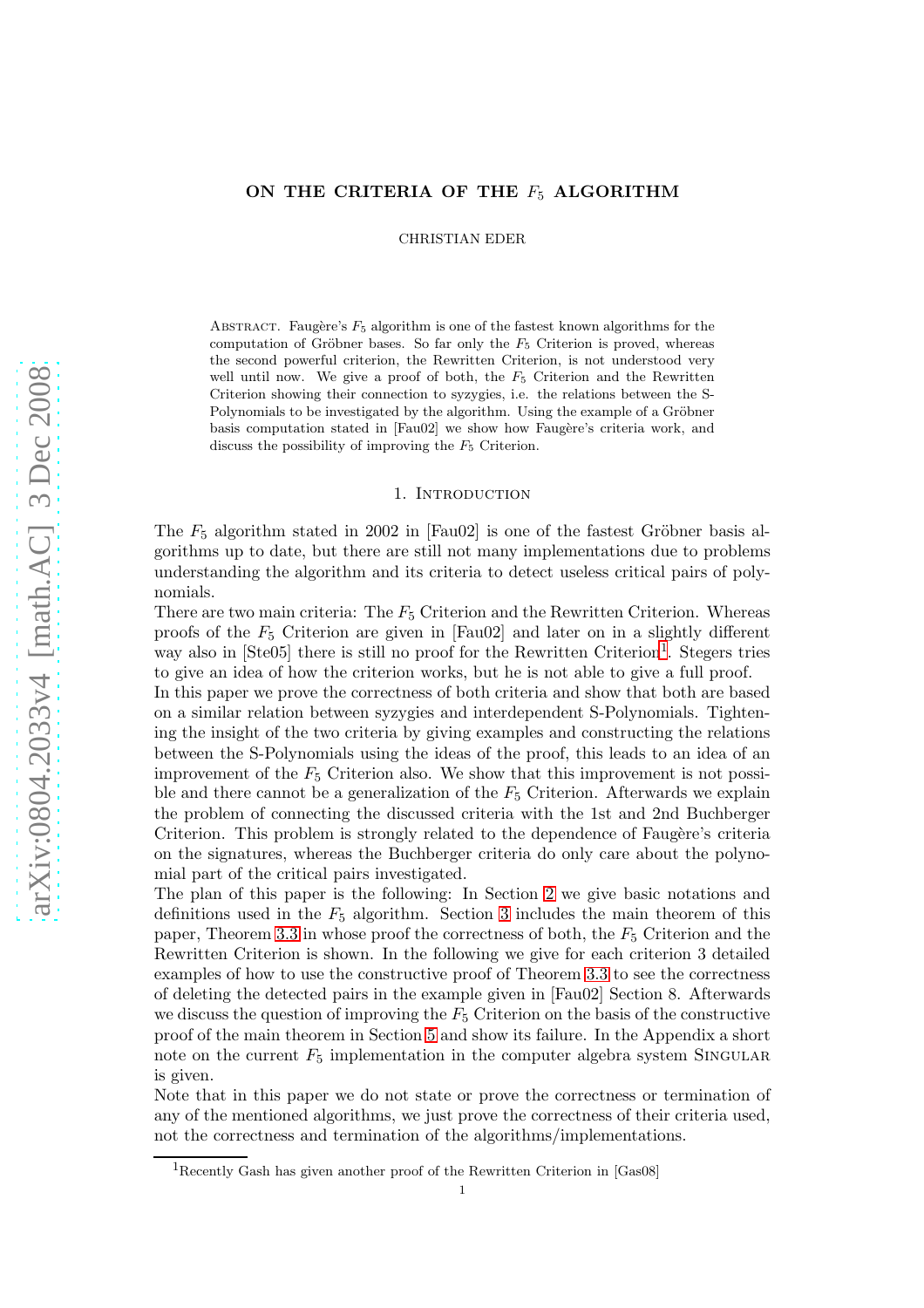# ON THE CRITERIA OF THE  $F_5$  ALGORITHM

CHRISTIAN EDER

ABSTRACT. Faugère's  $F_5$  algorithm is one of the fastest known algorithms for the computation of Gröbner bases. So far only the  $F_5$  Criterion is proved, whereas the second powerful criterion, the Rewritten Criterion, is not understood very well until now. We give a proof of both, the  $F_5$  Criterion and the Rewritten Criterion showing their connection to syzygies, i.e. the relations between the S-Polynomials to be investigated by the algorithm. Using the example of a Gröbner basis computation stated in [Fau02] we show how Faugère's criteria work, and discuss the possibility of improving the  $F<sub>5</sub>$  Criterion.

#### 1. Introduction

The  $F_5$  algorithm stated in 2002 in [Fau02] is one of the fastest Gröbner basis algorithms up to date, but there are still not many implementations due to problems understanding the algorithm and its criteria to detect useless critical pairs of polynomials.

There are two main criteria: The  $F_5$  Criterion and the Rewritten Criterion. Whereas proofs of the  $F_5$  Criterion are given in [Fau02] and later on in a slightly different way also in [Ste05] there is still no proof for the Rewritten Criterion<sup>[1](#page-0-0)</sup>. Stegers tries to give an idea of how the criterion works, but he is not able to give a full proof.

In this paper we prove the correctness of both criteria and show that both are based on a similar relation between syzygies and interdependent S-Polynomials. Tightening the insight of the two criteria by giving examples and constructing the relations between the S-Polynomials using the ideas of the proof, this leads to an idea of an improvement of the  $F_5$  Criterion also. We show that this improvement is not possible and there cannot be a generalization of the  $F<sub>5</sub>$  Criterion. Afterwards we explain the problem of connecting the discussed criteria with the 1st and 2nd Buchberger Criterion. This problem is strongly related to the dependence of Faugère's criteria on the signatures, whereas the Buchberger criteria do only care about the polynomial part of the critical pairs investigated.

The plan of this paper is the following: In Section [2](#page-1-0) we give basic notations and definitions used in the  $F_5$  algorithm. Section [3](#page-4-0) includes the main theorem of this paper, Theorem [3.3](#page-4-1) in whose proof the correctness of both, the  $F_5$  Criterion and the Rewritten Criterion is shown. In the following we give for each criterion 3 detailed examples of how to use the constructive proof of Theorem [3.3](#page-4-1) to see the correctness of deleting the detected pairs in the example given in [Fau02] Section 8. Afterwards we discuss the question of improving the  $F_5$  Criterion on the basis of the constructive proof of the main theorem in Section [5](#page-11-0) and show its failure. In the Appendix a short note on the current  $F_5$  implementation in the computer algebra system SINGULAR is given.

Note that in this paper we do not state or prove the correctness or termination of any of the mentioned algorithms, we just prove the correctness of their criteria used, not the correctness and termination of the algorithms/implementations.

<span id="page-0-0"></span><sup>&</sup>lt;sup>1</sup>Recently Gash has given another proof of the Rewritten Criterion in [Gas08]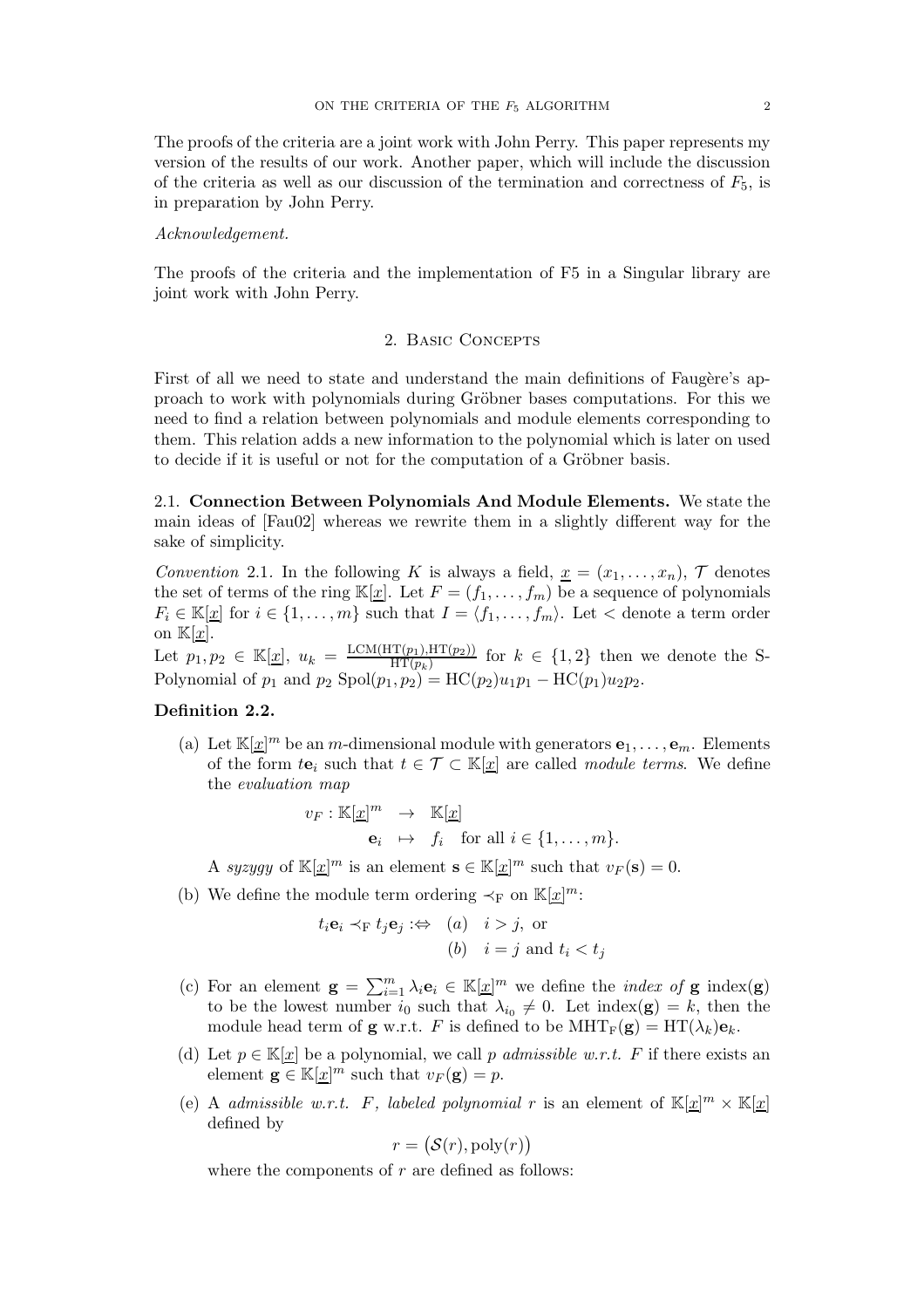The proofs of the criteria are a joint work with John Perry. This paper represents my version of the results of our work. Another paper, which will include the discussion of the criteria as well as our discussion of the termination and correctness of  $F_5$ , is in preparation by John Perry.

#### Acknowledgement.

<span id="page-1-0"></span>The proofs of the criteria and the implementation of F5 in a Singular library are joint work with John Perry.

### 2. BASIC CONCEPTS

First of all we need to state and understand the main definitions of Faugère's approach to work with polynomials during Gröbner bases computations. For this we need to find a relation between polynomials and module elements corresponding to them. This relation adds a new information to the polynomial which is later on used to decide if it is useful or not for the computation of a Gröbner basis.

2.1. Connection Between Polynomials And Module Elements. We state the main ideas of [Fau02] whereas we rewrite them in a slightly different way for the sake of simplicity.

Convention 2.1. In the following K is always a field,  $\underline{x} = (x_1, \ldots, x_n)$ , T denotes the set of terms of the ring  $\mathbb{K}[\underline{x}]$ . Let  $F = (f_1, \ldots, f_m)$  be a sequence of polynomials  $F_i \in \mathbb{K}[\underline{x}]$  for  $i \in \{1, \ldots, m\}$  such that  $I = \langle f_1, \ldots, f_m \rangle$ . Let  $\langle$  denote a term order on  $\mathbb{K}[x]$ .

Let  $p_1, p_2 \in \mathbb{K}[\underline{x}], u_k = \frac{\text{LCM}(\text{HT}(p_1), \text{HT}(p_2))}{\text{HT}(p_k)}$  $\frac{\Pi(p_1), \Pi(\mu_2)}{\Pi T(p_k)}$  for  $k \in \{1, 2\}$  then we denote the S-Polynomial of  $p_1$  and  $p_2$  Spol $(p_1, p_2) = \text{HC}(p_2)u_1p_1 - \text{HC}(p_1)u_2p_2$ .

# <span id="page-1-1"></span>Definition 2.2.

(a) Let  $\mathbb{K}[\underline{x}]^m$  be an *m*-dimensional module with generators  $e_1, \ldots, e_m$ . Elements of the form  $te_i$  such that  $t \in \mathcal{T} \subset \mathbb{K}[x]$  are called module terms. We define the evaluation map

$$
v_F: \mathbb{K}[\underline{x}]^m \rightarrow \mathbb{K}[\underline{x}]
$$
  

$$
\mathbf{e}_i \rightarrow f_i \text{ for all } i \in \{1, \dots, m\}.
$$

A syzygy of  $\mathbb{K}[{\underline{x}}]^m$  is an element  $\mathbf{s} \in \mathbb{K}[{\underline{x}}]^m$  such that  $v_F(\mathbf{s}) = 0$ .

(b) We define the module term ordering  $\prec_F$  on  $\mathbb{K}[x]^m$ :

$$
t_i \mathbf{e}_i \prec_{\mathcal{F}} t_j \mathbf{e}_j \; \Rightarrow \; (a) \quad i > j, \text{ or}
$$
\n
$$
(b) \quad i = j \text{ and } t_i < t_j
$$

- (c) For an element  $\mathbf{g} = \sum_{i=1}^{m} \lambda_i \mathbf{e}_i \in \mathbb{K}[\underline{x}]^m$  we define the *index of* **g** index(**g**) to be the lowest number  $i_0$  such that  $\lambda_{i_0} \neq 0$ . Let index(**g**) = k, then the module head term of **g** w.r.t. F is defined to be  $\text{MHT}_F(\mathbf{g}) = \text{HT}(\lambda_k)\mathbf{e}_k$ .
- <span id="page-1-2"></span>(d) Let  $p \in \mathbb{K}[\underline{x}]$  be a polynomial, we call p admissible w.r.t. F if there exists an element  $\mathbf{g} \in \mathbb{K}[\underline{x}]^m$  such that  $v_F(\mathbf{g}) = p$ .
- (e) A admissible w.r.t. F, labeled polynomial r is an element of  $\mathbb{K}[x]^m \times \mathbb{K}[x]$ defined by

$$
r = (\mathcal{S}(r), \mathrm{poly}(r))
$$

where the components of  $r$  are defined as follows: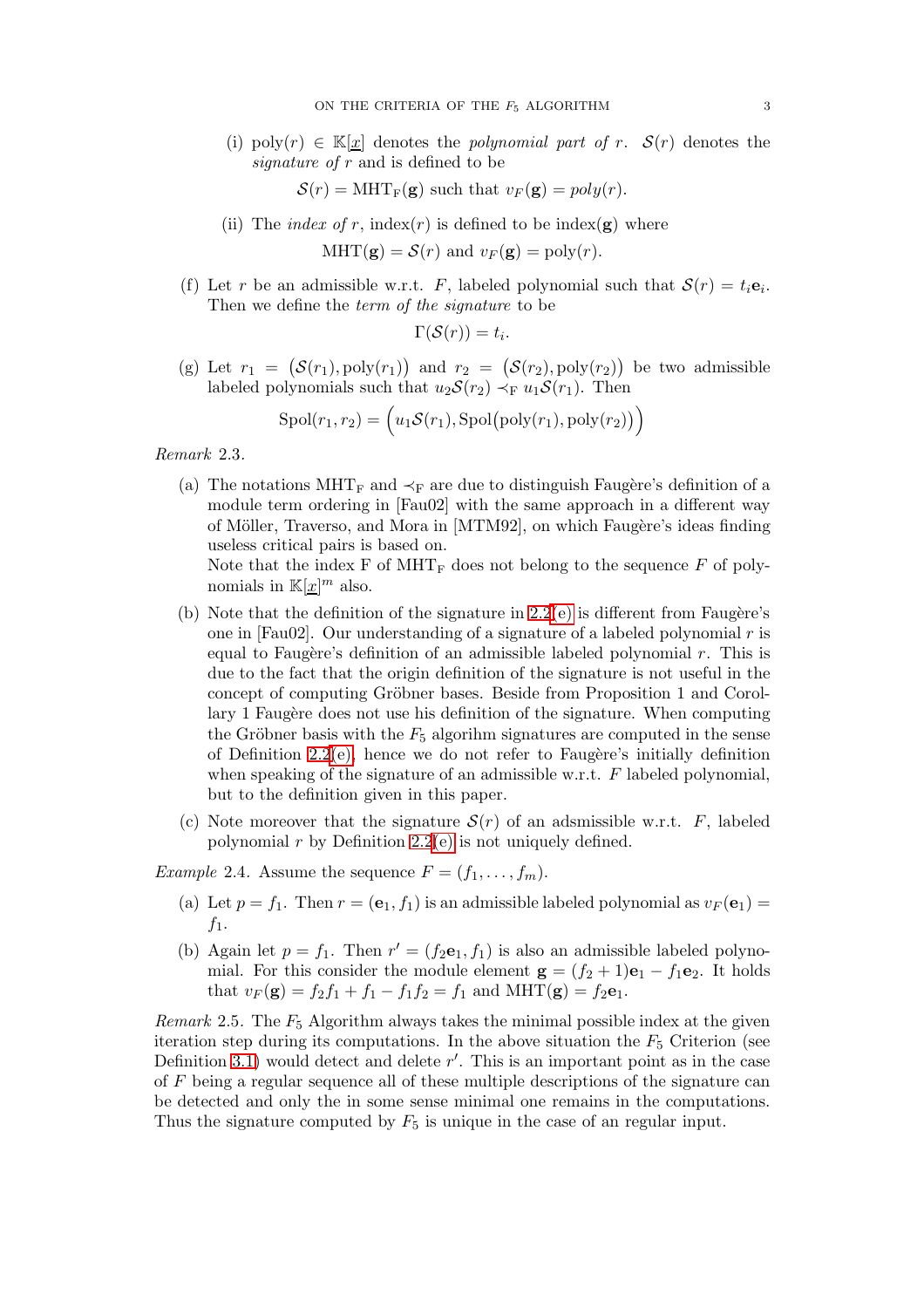(i) poly $(r) \in \mathbb{K}[x]$  denotes the *polynomial part of r.*  $\mathcal{S}(r)$  denotes the signature of r and is defined to be

 $S(r) = \text{MHT}_F(g)$  such that  $v_F(g) = poly(r)$ .

(ii) The *index of r*, index(*r*) is defined to be index(**g**) where

 $MHT(\mathbf{g}) = \mathcal{S}(r)$  and  $v_F(\mathbf{g}) = \text{poly}(r)$ .

(f) Let r be an admissible w.r.t. F, labeled polynomial such that  $S(r) = t_i e_i$ . Then we define the term of the signature to be

$$
\Gamma(\mathcal{S}(r))=t_i.
$$

<span id="page-2-0"></span>(g) Let  $r_1 = (\mathcal{S}(r_1), \text{poly}(r_1))$  and  $r_2 = (\mathcal{S}(r_2), \text{poly}(r_2))$  be two admissible labeled polynomials such that  $u_2S(r_2) \prec_F u_1S(r_1)$ . Then

$$
Spol(r_1, r_2) = (u_1 \mathcal{S}(r_1), Spol(poly(r_1), poly(r_2)))
$$

Remark 2.3.

(a) The notations MHT<sub>F</sub> and  $\prec_F$  are due to distinguish Faugère's definition of a module term ordering in [Fau02] with the same approach in a different way of Möller, Traverso, and Mora in [MTM92], on which Faugère's ideas finding useless critical pairs is based on.

Note that the index  $F$  of  $MHT_F$  does not belong to the sequence  $F$  of polynomials in  $\mathbb{K}[\underline{x}]^m$  also.

- (b) Note that the definition of the signature in  $2.2(e)$  $2.2(e)$  is different from Faugère's one in [Fau02]. Our understanding of a signature of a labeled polynomial  $r$  is equal to Faugère's definition of an admissible labeled polynomial  $r$ . This is due to the fact that the origin definition of the signature is not useful in the concept of computing Gröbner bases. Beside from Proposition 1 and Corollary 1 Faugère does not use his definition of the signature. When computing the Gröbner basis with the  $F_5$  algorithm signatures are computed in the sense of Definition  $2.2(e)$ , hence we do not refer to Faugère's initially definition when speaking of the signature of an admissible w.r.t. F labeled polynomial, but to the definition given in this paper.
- (c) Note moreover that the signature  $\mathcal{S}(r)$  of an adsmissible w.r.t. F, labeled polynomial  $r$  by Definition [2.2](#page-1-1)[\(e\)](#page-1-2) is not uniquely defined.

*Example* 2.4. Assume the sequence  $F = (f_1, \ldots, f_m)$ .

- (a) Let  $p = f_1$ . Then  $r = (e_1, f_1)$  is an admissible labeled polynomial as  $v_F(e_1)$  $f_1$ .
- (b) Again let  $p = f_1$ . Then  $r' = (f_2e_1, f_1)$  is also an admissible labeled polynomial. For this consider the module element  $\mathbf{g} = (f_2 + 1)\mathbf{e}_1 - f_1 \mathbf{e}_2$ . It holds that  $v_F(g) = f_2f_1 + f_1 - f_1f_2 = f_1$  and  $MHT(g) = f_2e_1$ .

Remark 2.5. The  $F_5$  Algorithm always takes the minimal possible index at the given iteration step during its computations. In the above situation the  $F<sub>5</sub>$  Criterion (see Definition [3.1\)](#page-4-2) would detect and delete  $r'$ . This is an important point as in the case of F being a regular sequence all of these multiple descriptions of the signature can be detected and only the in some sense minimal one remains in the computations. Thus the signature computed by  $F_5$  is unique in the case of an regular input.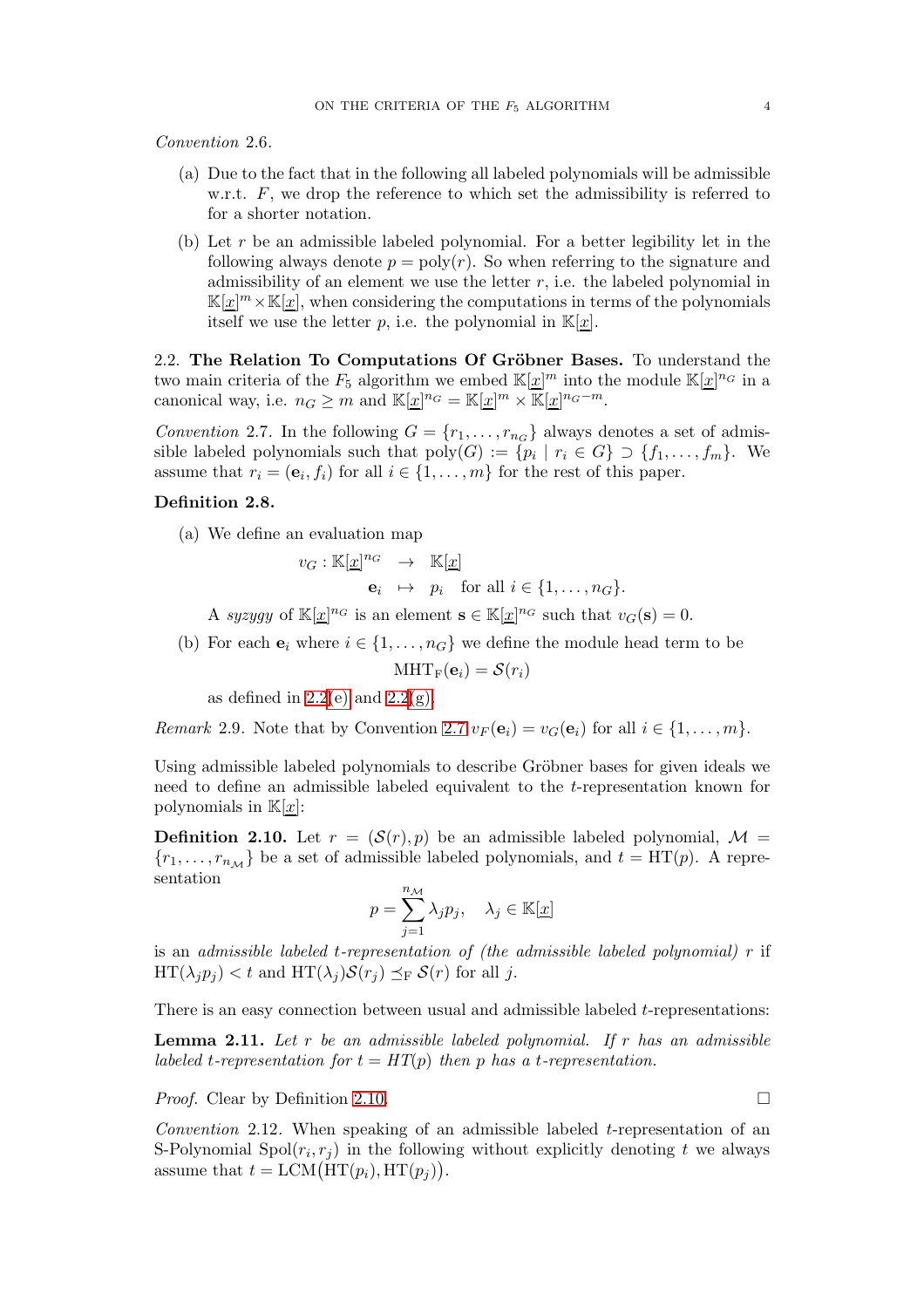Convention 2.6.

- (a) Due to the fact that in the following all labeled polynomials will be admissible w.r.t.  $F$ , we drop the reference to which set the admissibility is referred to for a shorter notation.
- (b) Let r be an admissible labeled polynomial. For a better legibility let in the following always denote  $p = poly(r)$ . So when referring to the signature and admissibility of an element we use the letter r, i.e. the labeled polynomial in  $\mathbb{K}[\underline{x}]^m \times \mathbb{K}[\underline{x}]$ , when considering the computations in terms of the polynomials itself we use the letter p, i.e. the polynomial in  $\mathbb{K}[x]$ .

2.2. The Relation To Computations Of Gröbner Bases. To understand the two main criteria of the  $F_5$  algorithm we embed  $\mathbb{K}[\underline{x}]^m$  into the module  $\mathbb{K}[\underline{x}]^{n_G}$  in a canonical way, i.e.  $n_G \geq m$  and  $\mathbb{K}[\underline{x}]^{n_G} = \mathbb{K}[\underline{x}]^m \times \mathbb{K}[\underline{x}]^{n_G-m}$ .

<span id="page-3-0"></span>Convention 2.7. In the following  $G = \{r_1, \ldots, r_{n_G}\}\$  always denotes a set of admissible labeled polynomials such that  $\text{poly}(G) := \{p_i \mid r_i \in G\} \supset \{f_1, \ldots, f_m\}$ . We assume that  $r_i = (\mathbf{e}_i, f_i)$  for all  $i \in \{1, \dots, m\}$  for the rest of this paper.

# Definition 2.8.

(a) We define an evaluation map

 $v_G : \mathbb{K}[\underline{x}]^{n_G} \rightarrow \mathbb{K}[\underline{x}]$  $\mathbf{e}_i \mapsto p_i \quad \text{for all } i \in \{1, \ldots, n_G\}.$ 

A syzygy of  $\mathbb{K}[\underline{x}]^{n_G}$  is an element  $\mathbf{s} \in \mathbb{K}[\underline{x}]^{n_G}$  such that  $v_G(\mathbf{s}) = 0$ .

(b) For each  $e_i$  where  $i \in \{1, \ldots, n_G\}$  we define the module head term to be

$$
MHT_F(\mathbf{e}_i) = \mathcal{S}(r_i)
$$

as defined in  $2.2(e)$  $2.2(e)$  and  $2.2(g)$ .

Remark 2.9. Note that by Convention [2.7](#page-3-0)  $v_F(\mathbf{e}_i) = v_G(\mathbf{e}_i)$  for all  $i \in \{1, \ldots, m\}$ .

Using admissible labeled polynomials to describe Gröbner bases for given ideals we need to define an admissible labeled equivalent to the t-representation known for polynomials in  $\mathbb{K}[x]$ :

<span id="page-3-1"></span>**Definition 2.10.** Let  $r = (\mathcal{S}(r), p)$  be an admissible labeled polynomial,  $\mathcal{M} =$  ${r_1, \ldots, r_{n_M}}$  be a set of admissible labeled polynomials, and  $t = HT(p)$ . A representation

$$
p = \sum_{j=1}^{n_{\mathcal{M}}} \lambda_j p_j, \quad \lambda_j \in \mathbb{K}[\underline{x}]
$$

is an admissible labeled t-representation of (the admissible labeled polynomial)  $r$  if  $\text{HT}(\lambda_j p_j) < t$  and  $\text{HT}(\lambda_j)S(r_j) \preceq_{\text{F}} S(r)$  for all j.

There is an easy connection between usual and admissible labeled t-representations:

<span id="page-3-2"></span>**Lemma 2.11.** Let  $r$  be an admissible labeled polynomial. If  $r$  has an admissible labeled t-representation for  $t = HT(p)$  then p has a t-representation.

*Proof.* Clear by Definition [2.10.](#page-3-1)

Convention 2.12. When speaking of an admissible labeled t-representation of an S-Polynomial Spol $(r_i, r_j)$  in the following without explicitly denoting t we always assume that  $t = LCM(HT(p_i), HT(p_j)).$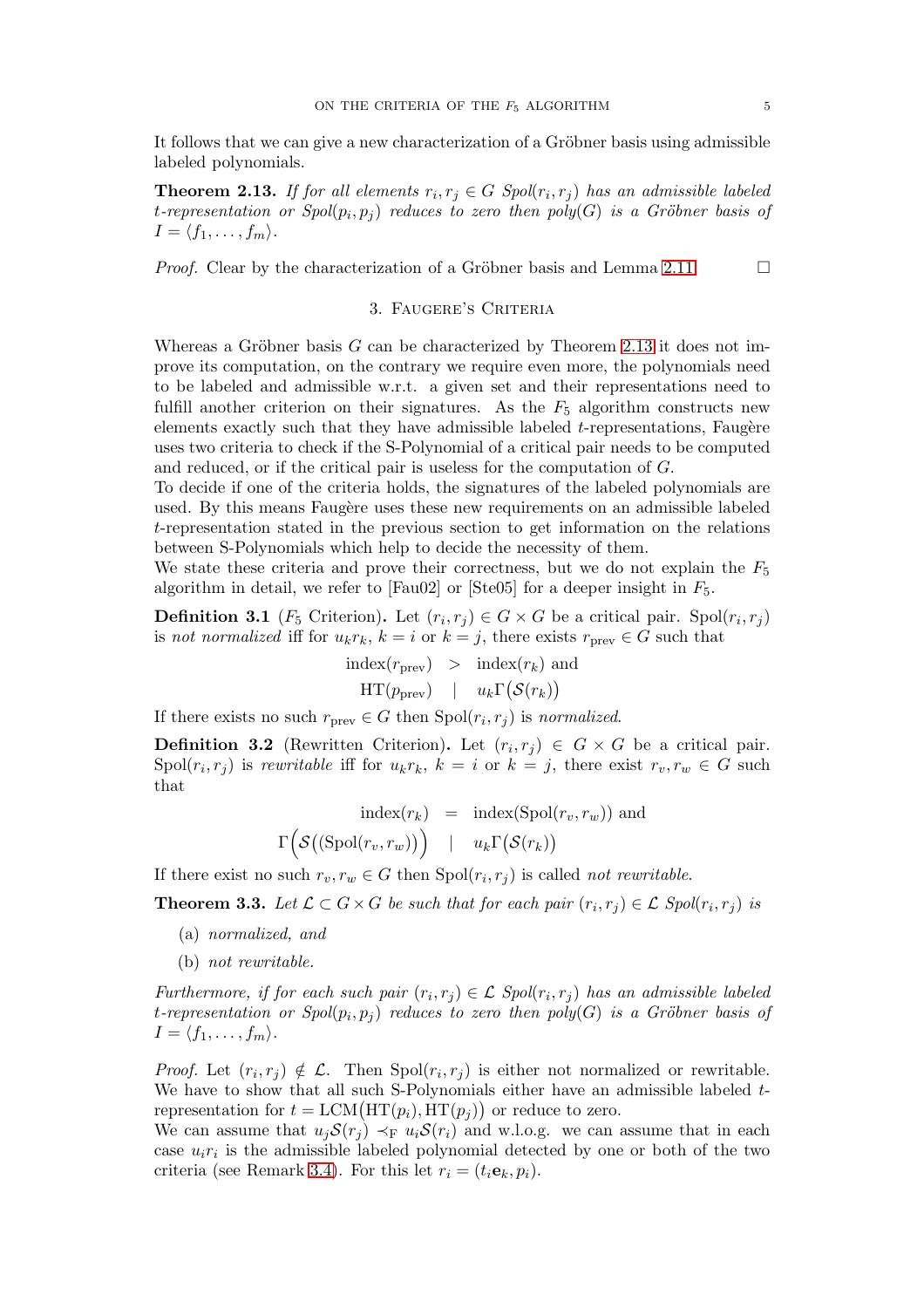It follows that we can give a new characterization of a Gröbner basis using admissible labeled polynomials.

<span id="page-4-3"></span>**Theorem 2.13.** If for all elements  $r_i, r_j \in G$  Spol $(r_i, r_j)$  has an admissible labeled t-representation or  $Spol(p_i, p_j)$  reduces to zero then  $poly(G)$  is a Gröbner basis of  $I = \langle f_1, \ldots, f_m \rangle$ .

<span id="page-4-0"></span>*Proof.* Clear by the characterization of a Gröbner basis and Lemma [2.11.](#page-3-2)  $\Box$ 

#### 3. Faugere's Criteria

Whereas a Gröbner basis  $G$  can be characterized by Theorem [2.13](#page-4-3) it does not improve its computation, on the contrary we require even more, the polynomials need to be labeled and admissible w.r.t. a given set and their representations need to fulfill another criterion on their signatures. As the  $F_5$  algorithm constructs new elements exactly such that they have admissible labeled  $t$ -representations, Faugère uses two criteria to check if the S-Polynomial of a critical pair needs to be computed and reduced, or if the critical pair is useless for the computation of G.

To decide if one of the criteria holds, the signatures of the labeled polynomials are used. By this means Faugère uses these new requirements on an admissible labeled t-representation stated in the previous section to get information on the relations between S-Polynomials which help to decide the necessity of them.

We state these criteria and prove their correctness, but we do not explain the  $F_5$ algorithm in detail, we refer to [Fau02] or [Ste05] for a deeper insight in  $F_5$ .

<span id="page-4-2"></span>**Definition 3.1** ( $F_5$  Criterion). Let  $(r_i, r_j) \in G \times G$  be a critical pair. Spol $(r_i, r_j)$ is not normalized iff for  $u_kr_k$ ,  $k = i$  or  $k = j$ , there exists  $r_{\text{prev}} \in G$  such that

> $index(r_{prev}) > index(r_k)$  and  $HT(p_{prev})$  |  $u_k \Gamma(\mathcal{S}(r_k))$

If there exists no such  $r_{\text{prev}} \in G$  then  $\text{Spol}(r_i, r_j)$  is normalized.

**Definition 3.2** (Rewritten Criterion). Let  $(r_i, r_j) \in G \times G$  be a critical pair.  $\text{Spol}(r_i, r_j)$  is rewritable iff for  $u_k r_k$ ,  $k = i$  or  $k = j$ , there exist  $r_v, r_w \in G$  such that

$$
\text{index}(r_k) = \text{index}(\text{Spol}(r_v, r_w)) \text{ and}
$$

$$
\Gamma\Big(\mathcal{S}((\text{Spol}(r_v, r_w))\Big) \quad | \quad u_k \Gamma\big(\mathcal{S}(r_k)\big)
$$

If there exist no such  $r_v, r_w \in G$  then  $Spol(r_i, r_j)$  is called *not rewritable*.

<span id="page-4-1"></span>**Theorem 3.3.** Let  $\mathcal{L} \subset G \times G$  be such that for each pair  $(r_i, r_j) \in \mathcal{L}$  Spol $(r_i, r_j)$  is

- (a) normalized, and
- (b) not rewritable.

Furthermore, if for each such pair  $(r_i, r_j) \in \mathcal{L}$  Spol $(r_i, r_j)$  has an admissible labeled t-representation or  $Spol(p_i, p_j)$  reduces to zero then  $poly(G)$  is a Gröbner basis of  $I = \langle f_1, \ldots, f_m \rangle$ .

*Proof.* Let  $(r_i, r_j) \notin \mathcal{L}$ . Then  $Spol(r_i, r_j)$  is either not normalized or rewritable. We have to show that all such S-Polynomials either have an admissible labeled  $t$ representation for  $t = LCM(HT(p_i), HT(p_j))$  or reduce to zero.

We can assume that  $u_jS(r_j) \prec_F u_jS(r_i)$  and w.l.o.g. we can assume that in each case  $u_i r_i$  is the admissible labeled polynomial detected by one or both of the two criteria (see Remark [3.4\)](#page-8-0). For this let  $r_i = (t_i \mathbf{e}_k, p_i)$ .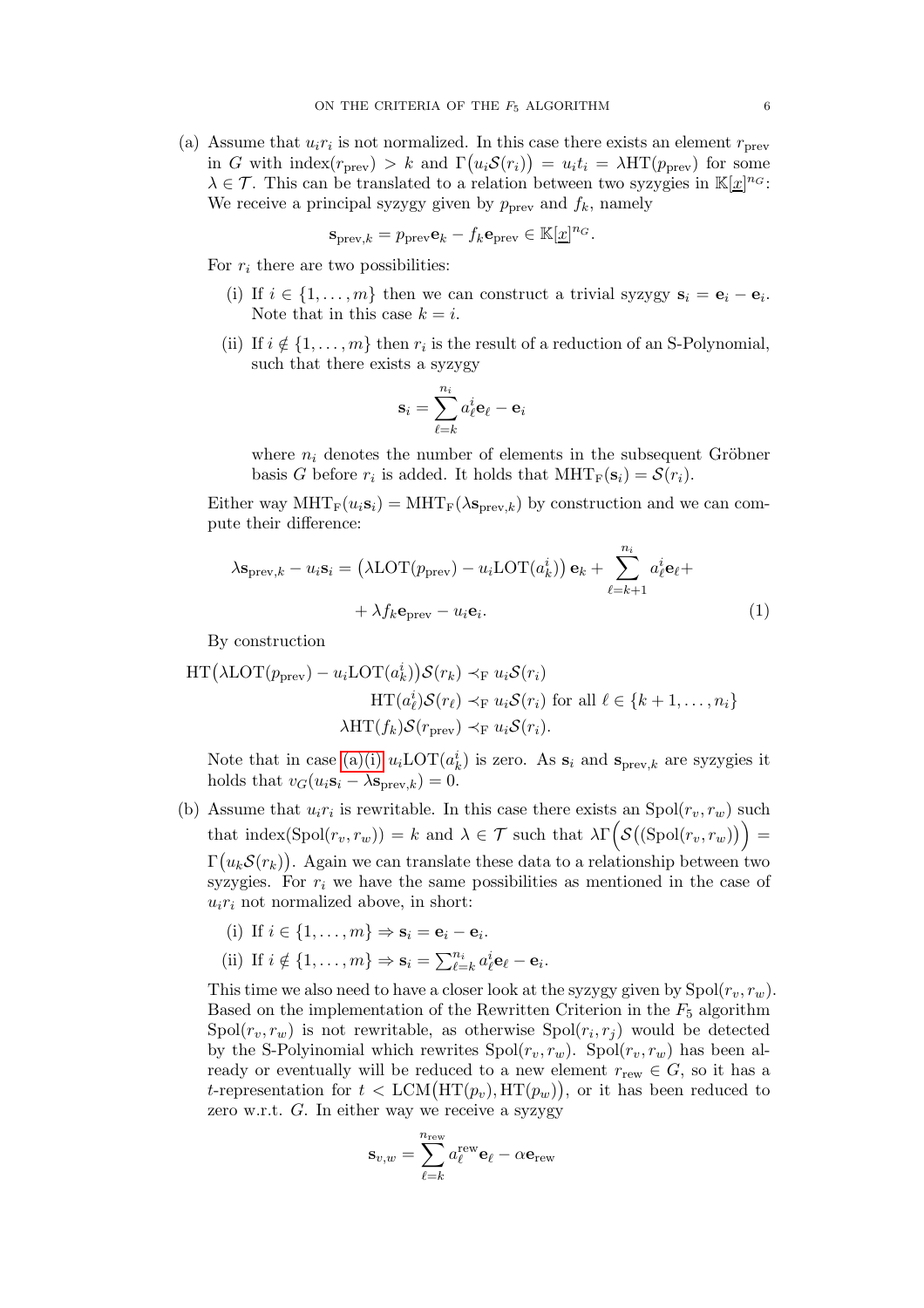(a) Assume that  $u_i r_i$  is not normalized. In this case there exists an element  $r_{\text{prev}}$ in G with index $(r_{prev}) > k$  and  $\Gamma(u_i \mathcal{S}(r_i)) = u_i t_i = \lambda \text{HT}(p_{prev})$  for some  $\lambda \in \mathcal{T}$ . This can be translated to a relation between two syzygies in  $\mathbb{K}[x]^{n_G}$ : We receive a principal syzygy given by  $p_{\text{prev}}$  and  $f_k$ , namely

$$
\mathbf{s}_{\text{prev},k} = p_{\text{prev}} \mathbf{e}_k - f_k \mathbf{e}_{\text{prev}} \in \mathbb{K}[\underline{x}]^{n_G}.
$$

<span id="page-5-0"></span>For  $r_i$  there are two possibilities:

- (i) If  $i \in \{1, \ldots, m\}$  then we can construct a trivial syzygy  $s_i = e_i e_i$ . Note that in this case  $k = i$ .
- (ii) If  $i \notin \{1, \ldots, m\}$  then  $r_i$  is the result of a reduction of an S-Polynomial, such that there exists a syzygy

<span id="page-5-1"></span>
$$
\mathbf{s}_i = \sum_{\ell = k}^{n_i} a_\ell^i \mathbf{e}_\ell - \mathbf{e}_i
$$

where  $n_i$  denotes the number of elements in the subsequent Gröbner basis G before  $r_i$  is added. It holds that  $\text{MHT}_F(\mathbf{s}_i) = \mathcal{S}(r_i)$ .

Either way  $\text{MHT}_{\text{F}}(u_i\mathbf{s}_i) = \text{MHT}_{\text{F}}(\lambda \mathbf{s}_{\text{prev},k})$  by construction and we can compute their difference:

$$
\lambda \mathbf{s}_{\text{prev},k} - u_i \mathbf{s}_i = (\lambda \text{LOT}(p_{\text{prev}}) - u_i \text{LOT}(a_k^i)) \mathbf{e}_k + \sum_{\ell=k+1}^{n_i} a_\ell^i \mathbf{e}_\ell + + \lambda f_k \mathbf{e}_{\text{prev}} - u_i \mathbf{e}_i.
$$
 (1)

By construction

$$
HT(\lambda LOT(p_{prev}) - u_i LOT(a_k^i))\mathcal{S}(r_k) \prec_{F} u_i \mathcal{S}(r_i)
$$
  
\n
$$
HT(a_\ell^i)\mathcal{S}(r_\ell) \prec_{F} u_i \mathcal{S}(r_i) \text{ for all } \ell \in \{k+1,\ldots,n_i\}
$$
  
\n
$$
\lambda HT(f_k)\mathcal{S}(r_{prev}) \prec_{F} u_i \mathcal{S}(r_i).
$$

Note that in case [\(a\)\(i\)](#page-5-0)  $u_i$ LOT $(a_k^i)$  is zero. As  $s_i$  and  $s_{prev,k}$  are syzygies it holds that  $v_G(u_i s_i - \lambda s_{prev,k}) = 0$ .

(b) Assume that  $u_i r_i$  is rewritable. In this case there exists an  $Spol(r_v, r_w)$  such that index  $(\text{Spol}(r_v, r_w)) = k$  and  $\lambda \in \mathcal{T}$  such that  $\lambda \Gamma\Big(\mathcal{S}((\text{Spol}(r_v, r_w))\Big) =$  $\Gamma\big(u_k \mathcal{S}(r_k)\big)$ . Again we can translate these data to a relationship between two syzygies. For  $r_i$  we have the same possibilities as mentioned in the case of

 $u_i r_i$  not normalized above, in short:

- (i) If  $i \in \{1, \ldots, m\} \Rightarrow \mathbf{s}_i = \mathbf{e}_i \mathbf{e}_i$ .
- (ii) If  $i \notin \{1, \ldots, m\} \Rightarrow \mathbf{s}_i = \sum_{\ell=k}^{n_i} a_\ell^i \mathbf{e}_\ell \mathbf{e}_i$ .

This time we also need to have a closer look at the syzygy given by  $Spol(r_v, r_w)$ . Based on the implementation of the Rewritten Criterion in the  $F_5$  algorithm  $\text{Spol}(r_v, r_w)$  is not rewritable, as otherwise  $\text{Spol}(r_i, r_j)$  would be detected by the S-Polyinomial which rewrites  $Spol(r_v, r_w)$ .  $Spol(r_v, r_w)$  has been already or eventually will be reduced to a new element  $r_{\text{rew}} \in G$ , so it has a t-representation for  $t < \text{LCM}(\text{HT}(p_v), \text{HT}(p_w)),$  or it has been reduced to zero w.r.t. G. In either way we receive a syzygy

$$
\mathbf{s}_{v,w} = \sum_{\ell=k}^{n_{\text{rew}}} a_{\ell}^{\text{rew}} \mathbf{e}_{\ell} - \alpha \mathbf{e}_{\text{rew}}
$$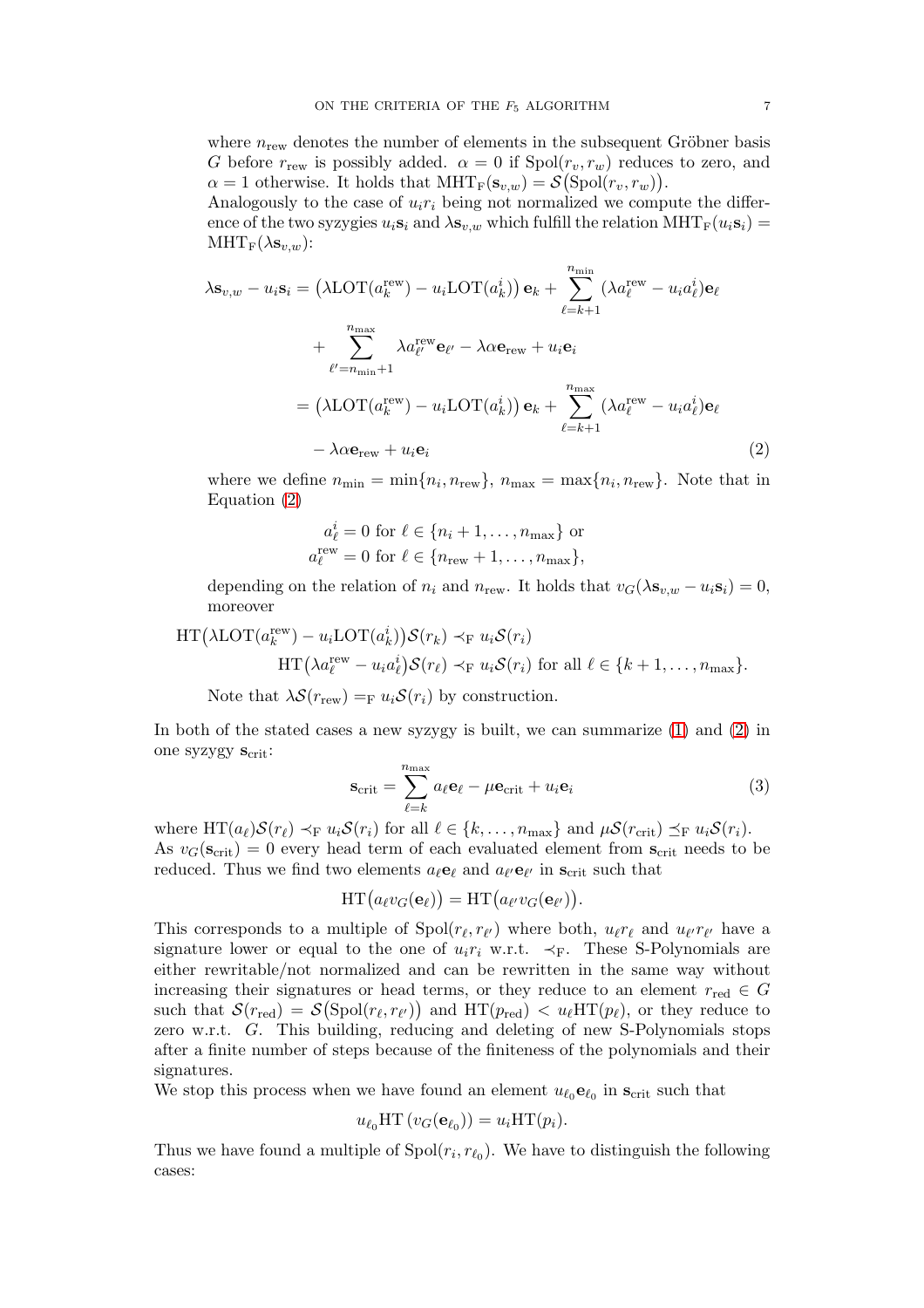where  $n_{\text{rew}}$  denotes the number of elements in the subsequent Gröbner basis G before  $r_{\text{rew}}$  is possibly added.  $\alpha = 0$  if  $Spol(r_v, r_w)$  reduces to zero, and  $\alpha = 1$  otherwise. It holds that  $\text{MHT}_F(\mathbf{s}_{v,w}) = \mathcal{S}(\text{Spol}(r_v, r_w)).$ 

Analogously to the case of  $u_i r_i$  being not normalized we compute the difference of the two syzygies  $u_i s_i$  and  $\lambda s_{v,w}$  which fulfill the relation  $\text{MHT}_{\text{F}}(u_i s_i)$  =  $\text{MHT}_{\text{F}}(\lambda s_{v,w})$ :

$$
\lambda \mathbf{s}_{v,w} - u_i \mathbf{s}_i = (\lambda \text{LOT}(a_k^{\text{rew}}) - u_i \text{LOT}(a_k^i)) \mathbf{e}_k + \sum_{\ell=k+1}^{n_{\text{min}}} (\lambda a_\ell^{\text{rew}} - u_i a_\ell^i) \mathbf{e}_\ell + \sum_{\ell'=n_{\text{min}}+1}^{n_{\text{max}}} \lambda a_\ell^{\text{rew}} \mathbf{e}_{\ell'} - \lambda \alpha \mathbf{e}_{\text{rew}} + u_i \mathbf{e}_i = (\lambda \text{LOT}(a_k^{\text{rew}}) - u_i \text{LOT}(a_k^i)) \mathbf{e}_k + \sum_{\ell=k+1}^{n_{\text{max}}} (\lambda a_\ell^{\text{rew}} - u_i a_\ell^i) \mathbf{e}_\ell - \lambda \alpha \mathbf{e}_{\text{rew}} + u_i \mathbf{e}_i
$$
(2)

where we define  $n_{\min} = \min\{n_i, n_{\text{rew}}\}, n_{\max} = \max\{n_i, n_{\text{rew}}\}.$  Note that in Equation [\(2\)](#page-6-0)

<span id="page-6-0"></span>
$$
a_{\ell}^{i} = 0 \text{ for } \ell \in \{n_i + 1, \dots, n_{\text{max}}\} \text{ or}
$$

$$
a_{\ell}^{\text{rew}} = 0 \text{ for } \ell \in \{n_{\text{rew}} + 1, \dots, n_{\text{max}}\},
$$

depending on the relation of  $n_i$  and  $n_{\text{rew}}$ . It holds that  $v_G(\lambda s_{v,w} - u_i s_i) = 0$ , moreover

$$
\text{HT}(\lambda \text{LOT}(a_k^{\text{rew}}) - u_i \text{LOT}(a_k^i)) \mathcal{S}(r_k) \prec_{\text{F}} u_i \mathcal{S}(r_i)
$$

$$
\text{HT}(\lambda a_\ell^{\text{rew}} - u_i a_\ell^i) \mathcal{S}(r_\ell) \prec_{\text{F}} u_i \mathcal{S}(r_i) \text{ for all } \ell \in \{k+1,\ldots,n_{\text{max}}\}.
$$

Note that  $\lambda \mathcal{S}(r_{\text{rew}}) =_{\text{F}} u_i \mathcal{S}(r_i)$  by construction.

In both of the stated cases a new syzygy is built, we can summarize [\(1\)](#page-5-1) and [\(2\)](#page-6-0) in one syzygy  $s_{\text{crit}}$ :

<span id="page-6-1"></span>
$$
\mathbf{s}_{\text{crit}} = \sum_{\ell=k}^{n_{\text{max}}} a_{\ell} \mathbf{e}_{\ell} - \mu \mathbf{e}_{\text{crit}} + u_i \mathbf{e}_i \tag{3}
$$

where  $HT(a_{\ell})\mathcal{S}(r_{\ell}) \prec_{F} u_{i}\mathcal{S}(r_{i})$  for all  $\ell \in \{k,\ldots,n_{\max}\}\$  and  $\mu\mathcal{S}(r_{\text{crit}}) \preceq_{F} u_{i}\mathcal{S}(r_{i}).$ As  $v_G(\mathbf{s}_{\text{crit}}) = 0$  every head term of each evaluated element from  $\mathbf{s}_{\text{crit}}$  needs to be reduced. Thus we find two elements  $a_{\ell}e_{\ell}$  and  $a_{\ell'}e_{\ell'}$  in  $s_{\text{crit}}$  such that

$$
\operatorname{HT}\big(a_{\ell}v_G(\mathbf{e}_{\ell})\big)=\operatorname{HT}\big(a_{\ell'}v_G(\mathbf{e}_{\ell'})\big).
$$

This corresponds to a multiple of  $Spol(r_{\ell}, r_{\ell'})$  where both,  $u_{\ell}r_{\ell}$  and  $u_{\ell'}r_{\ell'}$  have a signature lower or equal to the one of  $u_i r_i$  w.r.t.  $\prec_F$ . These S-Polynomials are either rewritable/not normalized and can be rewritten in the same way without increasing their signatures or head terms, or they reduce to an element  $r_{\text{red}} \in G$ such that  $\mathcal{S}(r_{\text{red}}) = \mathcal{S}(\text{Spol}(r_\ell, r_{\ell'}))$  and  $\text{HT}(p_{\text{red}}) < u_\ell \text{HT}(p_\ell)$ , or they reduce to zero w.r.t. G. This building, reducing and deleting of new S-Polynomials stops after a finite number of steps because of the finiteness of the polynomials and their signatures.

We stop this process when we have found an element  $u_{\ell_0}$ **e** $_{\ell_0}$  in  $\mathbf{s}_{\text{crit}}$  such that

$$
u_{\ell_0} \text{HT} (v_G(\mathbf{e}_{\ell_0})) = u_i \text{HT}(p_i).
$$

Thus we have found a multiple of  $Spol(r_i, r_{\ell_0})$ . We have to distinguish the following cases: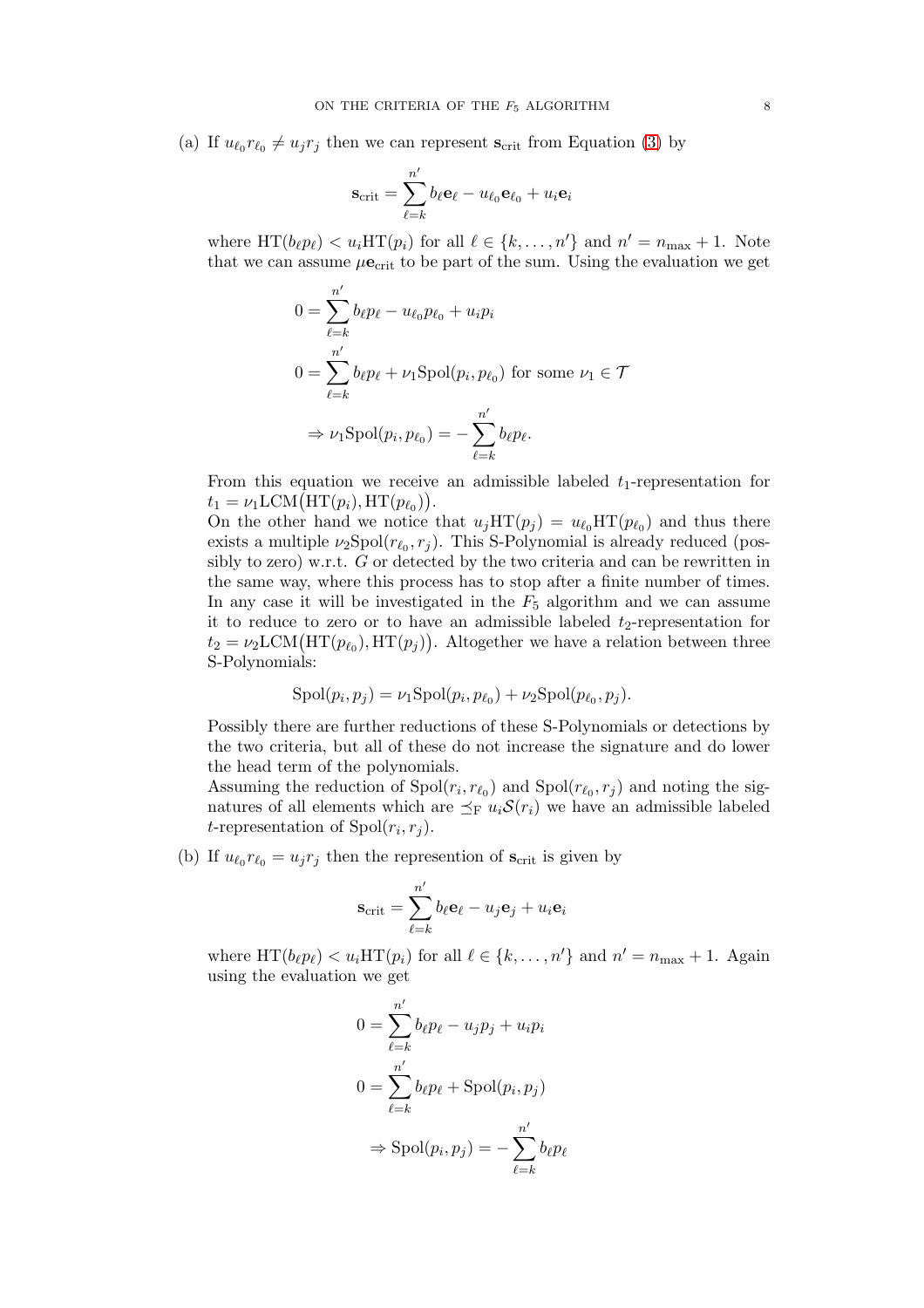(a) If  $u_{\ell_0} r_{\ell_0} \neq u_j r_j$  then we can represent  $s_{\text{crit}}$  from Equation [\(3\)](#page-6-1) by

$$
\mathbf{s}_{\text{crit}} = \sum_{\ell=k}^{n'} b_{\ell} \mathbf{e}_{\ell} - u_{\ell_0} \mathbf{e}_{\ell_0} + u_i \mathbf{e}_i
$$

where  $HT(b_{\ell}p_{\ell}) < u_i HT(p_i)$  for all  $\ell \in \{k, ..., n'\}$  and  $n' = n_{\max} + 1$ . Note that we can assume  $\mu \mathbf{e}_{\rm crit}$  to be part of the sum. Using the evaluation we get

$$
0 = \sum_{\ell=k}^{n'} b_{\ell} p_{\ell} - u_{\ell_0} p_{\ell_0} + u_i p_i
$$
  

$$
0 = \sum_{\ell=k}^{n'} b_{\ell} p_{\ell} + \nu_1 \text{Spol}(p_i, p_{\ell_0}) \text{ for some } \nu_1 \in \mathcal{T}
$$
  

$$
\Rightarrow \nu_1 \text{Spol}(p_i, p_{\ell_0}) = -\sum_{\ell=k}^{n'} b_{\ell} p_{\ell}.
$$

From this equation we receive an admissible labeled  $t_1$ -representation for  $t_1 = \nu_1 \text{LCM}(\text{HT}(p_i), \text{HT}(p_{\ell_0}))$ .

On the other hand we notice that  $u_j\text{HT}(p_j) = u_{\ell_0}\text{HT}(p_{\ell_0})$  and thus there exists a multiple  $\nu_2$ Spol $(r_{\ell_0}, r_j)$ . This S-Polynomial is already reduced (possibly to zero) w.r.t. G or detected by the two criteria and can be rewritten in the same way, where this process has to stop after a finite number of times. In any case it will be investigated in the  $F_5$  algorithm and we can assume it to reduce to zero or to have an admissible labeled  $t_2$ -representation for  $t_2 = \nu_2 \text{LCM}(\text{HT}(p_{\ell_0}), \text{HT}(p_j)).$  Altogether we have a relation between three S-Polynomials:

$$
Spol(p_i, p_j) = \nu_1 Spol(p_i, p_{\ell_0}) + \nu_2 Spol(p_{\ell_0}, p_j).
$$

Possibly there are further reductions of these S-Polynomials or detections by the two criteria, but all of these do not increase the signature and do lower the head term of the polynomials.

Assuming the reduction of  $Spol(r_i, r_{\ell_0})$  and  $Spol(r_{\ell_0}, r_j)$  and noting the signatures of all elements which are  $\preceq_{\mathrm{F}} u_i \mathcal{S}(r_i)$  we have an admissible labeled *t*-representation of  $Spol(r_i, r_j)$ .

(b) If  $u_{\ell_0} r_{\ell_0} = u_j r_j$  then the represention of  $s_{\text{crit}}$  is given by

$$
\mathbf{s}_{\rm crit} = \sum_{\ell=k}^{n'} b_{\ell} \mathbf{e}_{\ell} - u_j \mathbf{e}_j + u_i \mathbf{e}_i
$$

where  $HT(b_{\ell}p_{\ell}) < u_i HT(p_i)$  for all  $\ell \in \{k, ..., n'\}$  and  $n' = n_{\max} + 1$ . Again using the evaluation we get

$$
0 = \sum_{\ell=k}^{n'} b_{\ell} p_{\ell} - u_j p_j + u_i p_i
$$
  

$$
0 = \sum_{\ell=k}^{n'} b_{\ell} p_{\ell} + \text{Spol}(p_i, p_j)
$$
  

$$
\Rightarrow \text{Spol}(p_i, p_j) = -\sum_{\ell=k}^{n'} b_{\ell} p_{\ell}
$$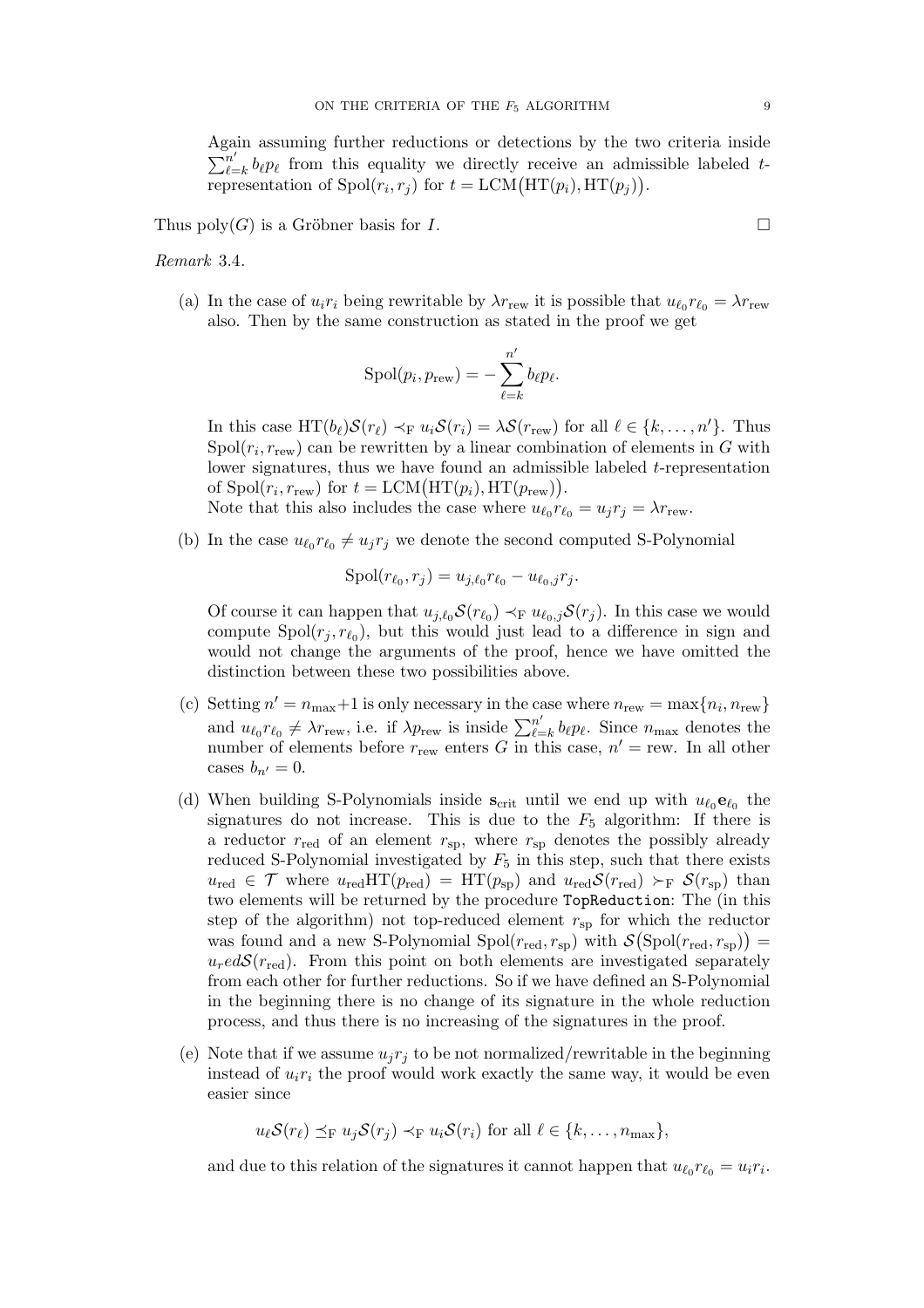Again assuming further reductions or detections by the two criteria inside  $\sum_{\ell = 1}^{n}$  $\sum_{\ell=k}^n b_\ell p_\ell$  from this equality we directly receive an admissible labeled trepresentation of  $Spol(r_i, r_j)$  for  $t = LCM(HT(p_i), HT(p_j)).$ 

Thus poly(G) is a Gröbner basis for I.

<span id="page-8-0"></span>Remark 3.4.

(a) In the case of  $u_i r_i$  being rewritable by  $\lambda r_{\text{rew}}$  it is possible that  $u_{\ell_0} r_{\ell_0} = \lambda r_{\text{rew}}$ also. Then by the same construction as stated in the proof we get

$$
Spol(p_i, p_{\text{rew}}) = -\sum_{\ell=k}^{n'} b_{\ell} p_{\ell}.
$$

In this case  $HT(b_{\ell})S(r_{\ell}) \prec_F u_iS(r_i) = \lambda S(r_{\text{rew}})$  for all  $\ell \in \{k, ..., n'\}$ . Thus  $\text{Spol}(r_i, r_{\text{rew}})$  can be rewritten by a linear combination of elements in G with lower signatures, thus we have found an admissible labeled t-representation of  $Spol(r_i, r_{\text{rew}})$  for  $t = LCM(HT(p_i), HT(p_{\text{rew}})).$ 

- Note that this also includes the case where  $u_{\ell_0} r_{\ell_0} = u_j r_j = \lambda r_{\text{rew}}$ .
- (b) In the case  $u_{\ell_0} r_{\ell_0} \neq u_j r_j$  we denote the second computed S-Polynomial

$$
Spol(r_{\ell_0}, r_j) = u_{j, \ell_0} r_{\ell_0} - u_{\ell_0, j} r_j.
$$

Of course it can happen that  $u_{j,\ell_0} S(r_{\ell_0}) \prec_{F} u_{\ell_0,j} S(r_j)$ . In this case we would compute  $Spol(r_j, r_{\ell_0})$ , but this would just lead to a difference in sign and would not change the arguments of the proof, hence we have omitted the distinction between these two possibilities above.

- (c) Setting  $n' = n_{\text{max}} + 1$  is only necessary in the case where  $n_{\text{rew}} = \max\{n_i, n_{\text{rew}}\}$ and  $u_{\ell_0} r_{\ell_0} \neq \lambda r_{\text{rew}}$ , i.e. if  $\lambda p_{\text{rew}}$  is inside  $\sum_{\ell=1}^{n'}$  $\sum_{\ell=k}^n b_\ell p_\ell$ . Since  $n_{\text{max}}$  denotes the number of elements before  $r_{\text{rew}}$  enters G in this case,  $n' = \text{rew}$ . In all other cases  $b_{n'} = 0$ .
- (d) When building S-Polynomials inside  $s_{\text{crit}}$  until we end up with  $u_{\ell_0}$  $\mathbf{e}_{\ell_0}$  the signatures do not increase. This is due to the  $F_5$  algorithm: If there is a reductor  $r_{\text{red}}$  of an element  $r_{\text{sp}}$ , where  $r_{\text{sp}}$  denotes the possibly already reduced S-Polynomial investigated by  $F_5$  in this step, such that there exists  $u_{\text{red}} \in \mathcal{T}$  where  $u_{\text{red}}HT(p_{\text{red}}) = HT(p_{\text{sp}})$  and  $u_{\text{red}}S(r_{\text{red}}) \succ_F S(r_{\text{sp}})$  than two elements will be returned by the procedure TopReduction: The (in this step of the algorithm) not top-reduced element  $r_{sp}$  for which the reductor was found and a new S-Polynomial Spol $(r_{\rm red}, r_{\rm sp})$  with  $\mathcal{S}(\text{Spol}(r_{\rm red}, r_{\rm sp})) =$  $u_{r}edS(r_{\text{red}})$ . From this point on both elements are investigated separately from each other for further reductions. So if we have defined an S-Polynomial in the beginning there is no change of its signature in the whole reduction process, and thus there is no increasing of the signatures in the proof.
- (e) Note that if we assume  $u_jr_j$  to be not normalized/rewritable in the beginning instead of  $u_i r_i$  the proof would work exactly the same way, it would be even easier since

$$
u_{\ell} \mathcal{S}(r_{\ell}) \preceq_{\mathrm{F}} u_j \mathcal{S}(r_j) \prec_{\mathrm{F}} u_i \mathcal{S}(r_i) \text{ for all } \ell \in \{k,\ldots,n_{\max}\},
$$

and due to this relation of the signatures it cannot happen that  $u_{\ell_0} r_{\ell_0} = u_i r_i$ .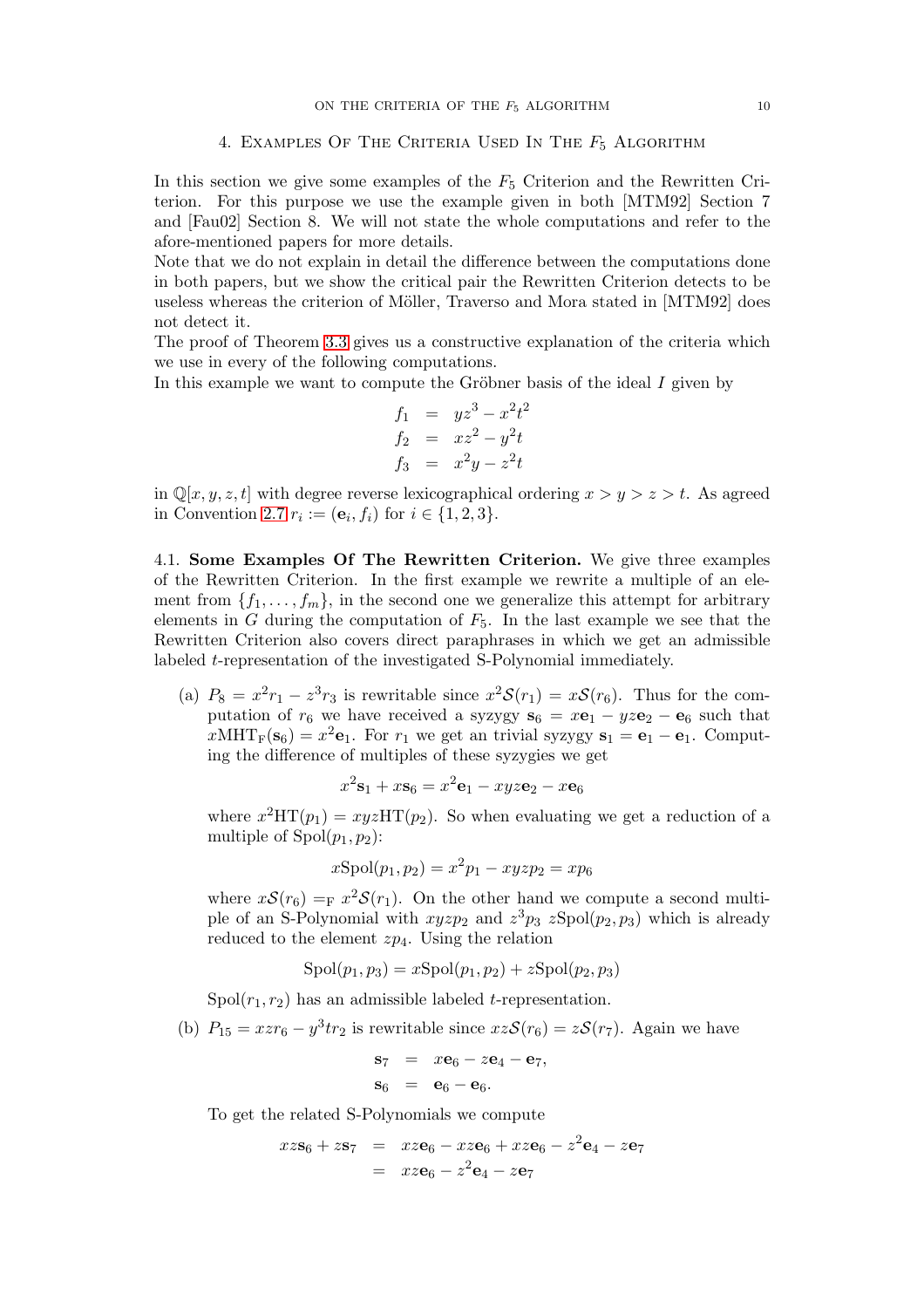# 4. EXAMPLES OF THE CRITERIA USED IN THE  $F_5$  ALGORITHM

In this section we give some examples of the  $F_5$  Criterion and the Rewritten Criterion. For this purpose we use the example given in both [MTM92] Section 7 and [Fau02] Section 8. We will not state the whole computations and refer to the afore-mentioned papers for more details.

Note that we do not explain in detail the difference between the computations done in both papers, but we show the critical pair the Rewritten Criterion detects to be useless whereas the criterion of Möller, Traverso and Mora stated in [MTM92] does not detect it.

The proof of Theorem [3.3](#page-4-1) gives us a constructive explanation of the criteria which we use in every of the following computations.

In this example we want to compute the Gröbner basis of the ideal  $I$  given by

$$
f_1 = yz^3 - x^2t^2
$$
  
\n
$$
f_2 = xz^2 - y^2t
$$
  
\n
$$
f_3 = x^2y - z^2t
$$

in  $\mathbb{Q}[x, y, z, t]$  with degree reverse lexicographical ordering  $x > y > z > t$ . As agreed in Convention [2.7](#page-3-0)  $r_i := (\mathbf{e}_i, f_i)$  for  $i \in \{1, 2, 3\}.$ 

<span id="page-9-0"></span>4.1. Some Examples Of The Rewritten Criterion. We give three examples of the Rewritten Criterion. In the first example we rewrite a multiple of an element from  $\{f_1, \ldots, f_m\}$ , in the second one we generalize this attempt for arbitrary elements in G during the computation of  $F_5$ . In the last example we see that the Rewritten Criterion also covers direct paraphrases in which we get an admissible labeled t-representation of the investigated S-Polynomial immediately.

(a)  $P_8 = x^2r_1 - z^3r_3$  is rewritable since  $x^2\mathcal{S}(r_1) = x\mathcal{S}(r_6)$ . Thus for the computation of  $r_6$  we have received a syzygy  $s_6 = x\mathbf{e}_1 - yz\mathbf{e}_2 - \mathbf{e}_6$  such that  $x\text{MHT}_F(\mathbf{s}_6) = x^2 \mathbf{e}_1$ . For  $r_1$  we get an trivial syzygy  $\mathbf{s}_1 = \mathbf{e}_1 - \mathbf{e}_1$ . Computing the difference of multiples of these syzygies we get

$$
x^2\mathbf{s}_1 + x\mathbf{s}_6 = x^2\mathbf{e}_1 - xyz\mathbf{e}_2 - x\mathbf{e}_6
$$

where  $x^2HT(p_1) = xyzHT(p_2)$ . So when evaluating we get a reduction of a multiple of  $Spol(p_1, p_2)$ :

$$
x{\rm Spol}(p_1, p_2) = x^2 p_1 - xyz p_2 = xp_6
$$

where  $x\mathcal{S}(r_6) = F x^2 \mathcal{S}(r_1)$ . On the other hand we compute a second multiple of an S-Polynomial with  $xyzp_2$  and  $z^3p_3$   $zSpol(p_2, p_3)$  which is already reduced to the element  $zp_4$ . Using the relation

$$
Spol(p_1, p_3) = xSpol(p_1, p_2) + zSpol(p_2, p_3)
$$

Spol $(r_1, r_2)$  has an admissible labeled *t*-representation.

(b)  $P_{15} = x z r_6 - y^3 t r_2$  is rewritable since  $xz\mathcal{S}(r_6) = z\mathcal{S}(r_7)$ . Again we have

$$
\begin{array}{rcl}\n\mathbf{s}_7 & = & x\mathbf{e}_6 - z\mathbf{e}_4 - \mathbf{e}_7, \\
\mathbf{s}_6 & = & \mathbf{e}_6 - \mathbf{e}_6.\n\end{array}
$$

To get the related S-Polynomials we compute

$$
xz\mathbf{s}_6 + z\mathbf{s}_7 = xz\mathbf{e}_6 - xz\mathbf{e}_6 + xz\mathbf{e}_6 - z^2\mathbf{e}_4 - z\mathbf{e}_7
$$
  
=  $xz\mathbf{e}_6 - z^2\mathbf{e}_4 - z\mathbf{e}_7$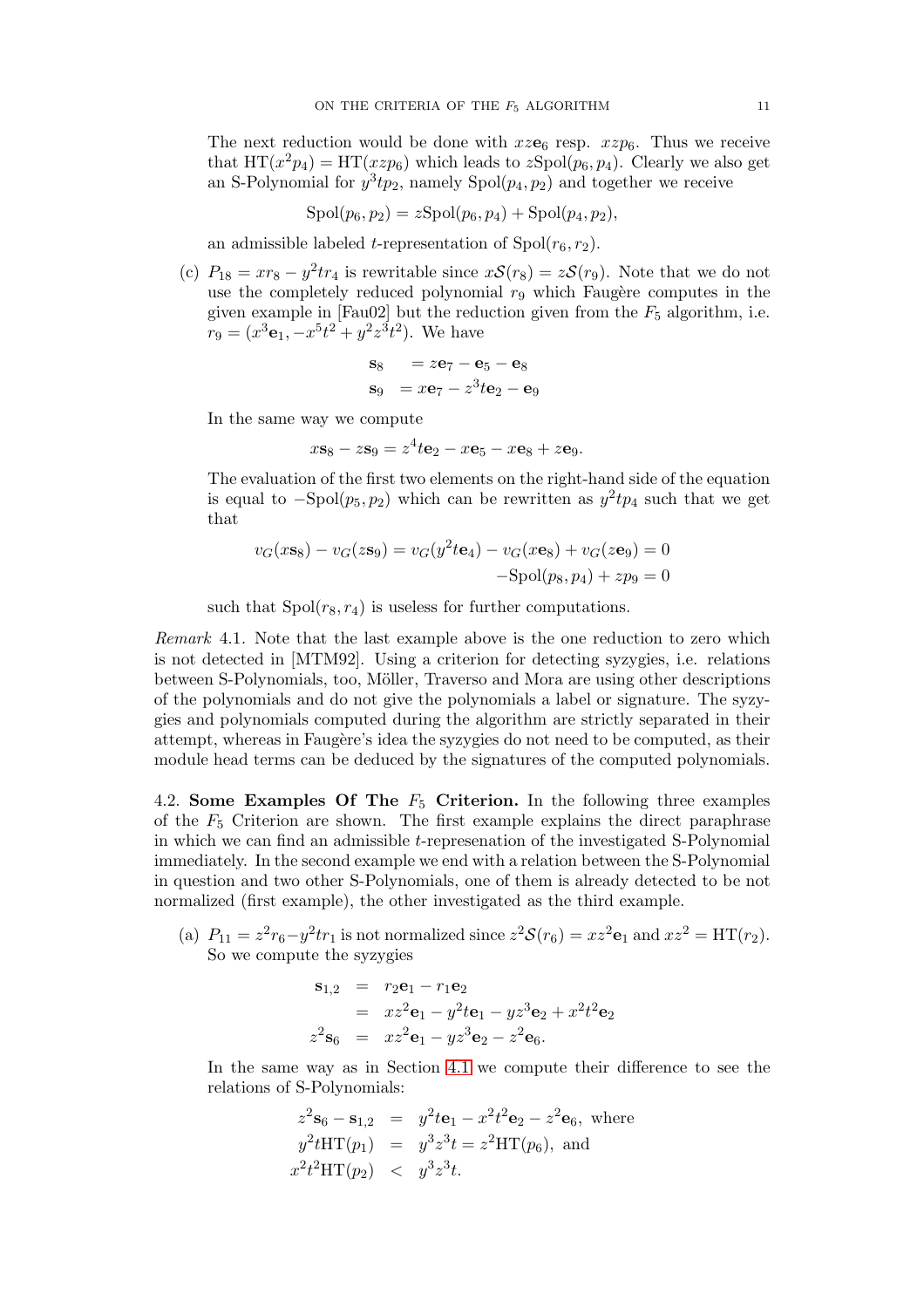The next reduction would be done with  $xze_6$  resp.  $xzp_6$ . Thus we receive that  $HT(x^2p_4) = HT(xzp_6)$  which leads to  $zSpol(p_6, p_4)$ . Clearly we also get an S-Polynomial for  $y^3tp_2$ , namely Spol $(p_4, p_2)$  and together we receive

$$
Spol(p_6, p_2) = zSpol(p_6, p_4) + Spol(p_4, p_2),
$$

an admissible labeled t-representation of  $Spol(r_6, r_2)$ .

(c)  $P_{18} = xr_8 - y^2tr_4$  is rewritable since  $xS(r_8) = zS(r_9)$ . Note that we do not use the completely reduced polynomial  $r<sub>9</sub>$  which Faugère computes in the given example in [Fau02] but the reduction given from the  $F_5$  algorithm, i.e.  $r_9 = (x^3 \mathbf{e}_1, -x^5 t^2 + y^2 z^3 t^2)$ . We have

$$
\begin{aligned}\n\mathbf{s}_8 &= z\mathbf{e}_7 - \mathbf{e}_5 - \mathbf{e}_8\\ \n\mathbf{s}_9 &= x\mathbf{e}_7 - z^3 t\mathbf{e}_2 - \mathbf{e}_9\n\end{aligned}
$$

In the same way we compute

$$
x\mathbf{s}_8 - z\mathbf{s}_9 = z^4 t\mathbf{e}_2 - x\mathbf{e}_5 - x\mathbf{e}_8 + z\mathbf{e}_9.
$$

The evaluation of the first two elements on the right-hand side of the equation is equal to  $-\text{Spol}(p_5, p_2)$  which can be rewritten as  $y^2tp_4$  such that we get that

$$
v_G(x\mathbf{s}_8) - v_G(z\mathbf{s}_9) = v_G(y^2 t \mathbf{e}_4) - v_G(x\mathbf{e}_8) + v_G(z\mathbf{e}_9) = 0
$$
  
-Spol(p<sub>8</sub>, p<sub>4</sub>) + zp<sub>9</sub> = 0

such that  $Spol(r_8, r_4)$  is useless for further computations.

Remark 4.1. Note that the last example above is the one reduction to zero which is not detected in [MTM92]. Using a criterion for detecting syzygies, i.e. relations between S-Polynomials, too, Möller, Traverso and Mora are using other descriptions of the polynomials and do not give the polynomials a label or signature. The syzygies and polynomials computed during the algorithm are strictly separated in their attempt, whereas in Faugère's idea the syzygies do not need to be computed, as their module head terms can be deduced by the signatures of the computed polynomials.

4.2. Some Examples Of The  $F_5$  Criterion. In the following three examples of the  $F_5$  Criterion are shown. The first example explains the direct paraphrase in which we can find an admissible t-represenation of the investigated S-Polynomial immediately. In the second example we end with a relation between the S-Polynomial in question and two other S-Polynomials, one of them is already detected to be not normalized (first example), the other investigated as the third example.

(a)  $P_{11} = z^2 r_6 - y^2 t r_1$  is not normalized since  $z^2 \mathcal{S}(r_6) = x z^2 \mathbf{e}_1$  and  $x z^2 = \text{HT}(r_2)$ . So we compute the syzygies

$$
\mathbf{s}_{1,2} = r_2 \mathbf{e}_1 - r_1 \mathbf{e}_2 \n= x z^2 \mathbf{e}_1 - y^2 t \mathbf{e}_1 - y z^3 \mathbf{e}_2 + x^2 t^2 \mathbf{e}_2 \nz^2 \mathbf{s}_6 = x z^2 \mathbf{e}_1 - y z^3 \mathbf{e}_2 - z^2 \mathbf{e}_6.
$$

In the same way as in Section [4.1](#page-9-0) we compute their difference to see the relations of S-Polynomials:

$$
z^{2}\mathbf{s}_{6} - \mathbf{s}_{1,2} = y^{2}t\mathbf{e}_{1} - x^{2}t^{2}\mathbf{e}_{2} - z^{2}\mathbf{e}_{6}, \text{ where}
$$
  
\n
$$
y^{2}tHT(p_{1}) = y^{3}z^{3}t = z^{2}HT(p_{6}), \text{ and}
$$
  
\n
$$
x^{2}t^{2}HT(p_{2}) < y^{3}z^{3}t.
$$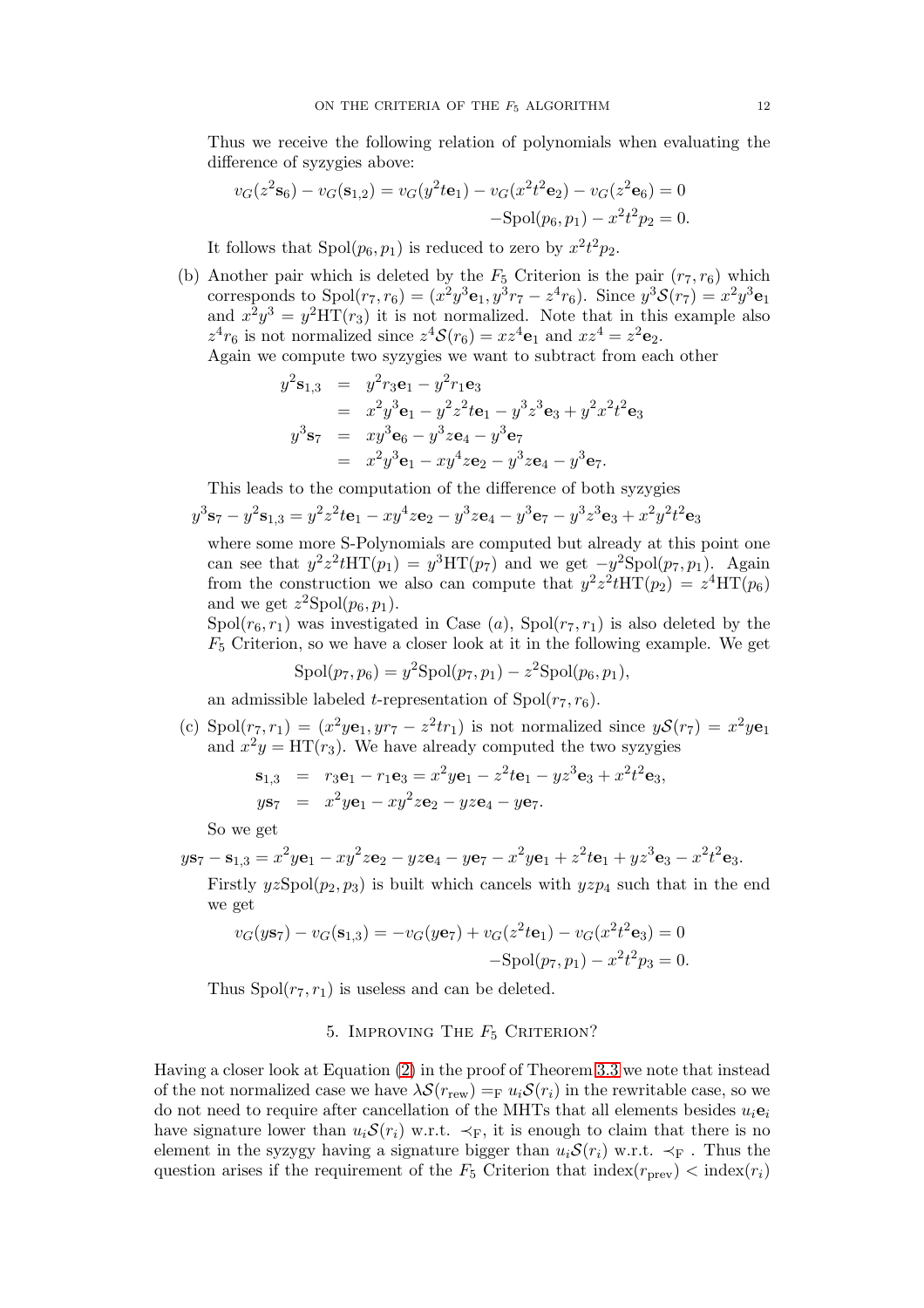Thus we receive the following relation of polynomials when evaluating the difference of syzygies above:

$$
v_G(z^2 \mathbf{s}_6) - v_G(\mathbf{s}_{1,2}) = v_G(y^2 t \mathbf{e}_1) - v_G(x^2 t^2 \mathbf{e}_2) - v_G(z^2 \mathbf{e}_6) = 0
$$
  
-Spol(p<sub>6</sub>, p<sub>1</sub>) - x<sup>2</sup>t<sup>2</sup>p<sub>2</sub> = 0.

It follows that  $Spol(p_6, p_1)$  is reduced to zero by  $x^2t^2p_2$ .

(b) Another pair which is deleted by the  $F_5$  Criterion is the pair  $(r_7, r_6)$  which corresponds to  $Spol(r_7, r_6) = (x^2y^3e_1, y^3r_7 - z^4r_6)$ . Since  $y^3S(r_7) = x^2y^3e_1$ and  $x^2y^3 = y^2HT(r_3)$  it is not normalized. Note that in this example also  $z^4r_6$  is not normalized since  $z^4S(r_6) = xz^4\mathbf{e}_1$  and  $xz^4 = z^2\mathbf{e}_2$ .

Again we compute two syzygies we want to subtract from each other

$$
y^{2}s_{1,3} = y^{2}r_{3}e_{1} - y^{2}r_{1}e_{3}
$$
  
=  $x^{2}y^{3}e_{1} - y^{2}z^{2}te_{1} - y^{3}z^{3}e_{3} + y^{2}x^{2}t^{2}e_{3}$   

$$
y^{3}s_{7} = xy^{3}e_{6} - y^{3}ze_{4} - y^{3}e_{7}
$$
  
=  $x^{2}y^{3}e_{1} - xy^{4}ze_{2} - y^{3}ze_{4} - y^{3}e_{7}.$ 

This leads to the computation of the difference of both syzygies

$$
y^{3}s_{7}-y^{2}s_{1,3}=y^{2}z^{2}t\mathbf{e}_{1}-xy^{4}z\mathbf{e}_{2}-y^{3}z\mathbf{e}_{4}-y^{3}\mathbf{e}_{7}-y^{3}z^{3}\mathbf{e}_{3}+x^{2}y^{2}t^{2}\mathbf{e}_{3}
$$

where some more S-Polynomials are computed but already at this point one can see that  $y^2 z^2 t \text{HT}(p_1) = y^3 \text{HT}(p_7)$  and we get  $-y^2 \text{Spol}(p_7, p_1)$ . Again from the construction we also can compute that  $y^2 z^2 t \text{HT}(p_2) = z^4 \text{HT}(p_6)$ and we get  $z^2$ Spol $(p_6, p_1)$ .

 $Spol(r_6, r_1)$  was investigated in Case (a),  $Spol(r_7, r_1)$  is also deleted by the  $F_5$  Criterion, so we have a closer look at it in the following example. We get

$$
Spol(p_7, p_6) = y^2 Spol(p_7, p_1) - z^2 Spol(p_6, p_1),
$$

an admissible labeled t-representation of  $Spol(r_7, r_6)$ .

(c) Spol $(r_7, r_1) = (x^2ye_1, yr_7 - z^2tr_1)$  is not normalized since  $y\mathcal{S}(r_7) = x^2ye_1$ and  $x^2y = HT(r_3)$ . We have already computed the two syzygies

$$
\mathbf{s}_{1,3} = r_3 \mathbf{e}_1 - r_1 \mathbf{e}_3 = x^2 y \mathbf{e}_1 - z^2 t \mathbf{e}_1 - y z^3 \mathbf{e}_3 + x^2 t^2 \mathbf{e}_3,
$$
  
\n
$$
y \mathbf{s}_7 = x^2 y \mathbf{e}_1 - xy^2 z \mathbf{e}_2 - y z \mathbf{e}_4 - y \mathbf{e}_7.
$$

So we get

$$
y\mathbf{s}_7 - \mathbf{s}_{1,3} = x^2y\mathbf{e}_1 - xy^2z\mathbf{e}_2 - yz\mathbf{e}_4 - y\mathbf{e}_7 - x^2y\mathbf{e}_1 + z^2t\mathbf{e}_1 + yz^3\mathbf{e}_3 - x^2t^2\mathbf{e}_3.
$$

Firstly  $yzSpol(p_2, p_3)$  is built which cancels with  $yzp_4$  such that in the end we get

$$
v_G(y\mathbf{s}_7) - v_G(\mathbf{s}_{1,3}) = -v_G(y\mathbf{e}_7) + v_G(z^2 t \mathbf{e}_1) - v_G(x^2 t^2 \mathbf{e}_3) = 0
$$
  
-Spol(p<sub>7</sub>, p<sub>1</sub>) - x<sup>2</sup>t<sup>2</sup>p<sub>3</sub> = 0.

<span id="page-11-0"></span>Thus  $Spol(r_7, r_1)$  is useless and can be deleted.

### 5. IMPROVING THE  $F_5$  CRITERION?

Having a closer look at Equation [\(2\)](#page-6-0) in the proof of Theorem [3.3](#page-4-1) we note that instead of the not normalized case we have  $\lambda \mathcal{S}(r_{\text{rew}}) =_{\text{F}} u_i \mathcal{S}(r_i)$  in the rewritable case, so we do not need to require after cancellation of the MHTs that all elements besides  $u_i$ **e**<sub>i</sub> have signature lower than  $u_i\mathcal{S}(r_i)$  w.r.t.  $\prec_F$ , it is enough to claim that there is no element in the syzygy having a signature bigger than  $u_i\mathcal{S}(r_i)$  w.r.t.  $\prec_F$ . Thus the question arises if the requirement of the  $F_5$  Criterion that  $\text{index}(r_{\text{prev}}) < \text{index}(r_i)$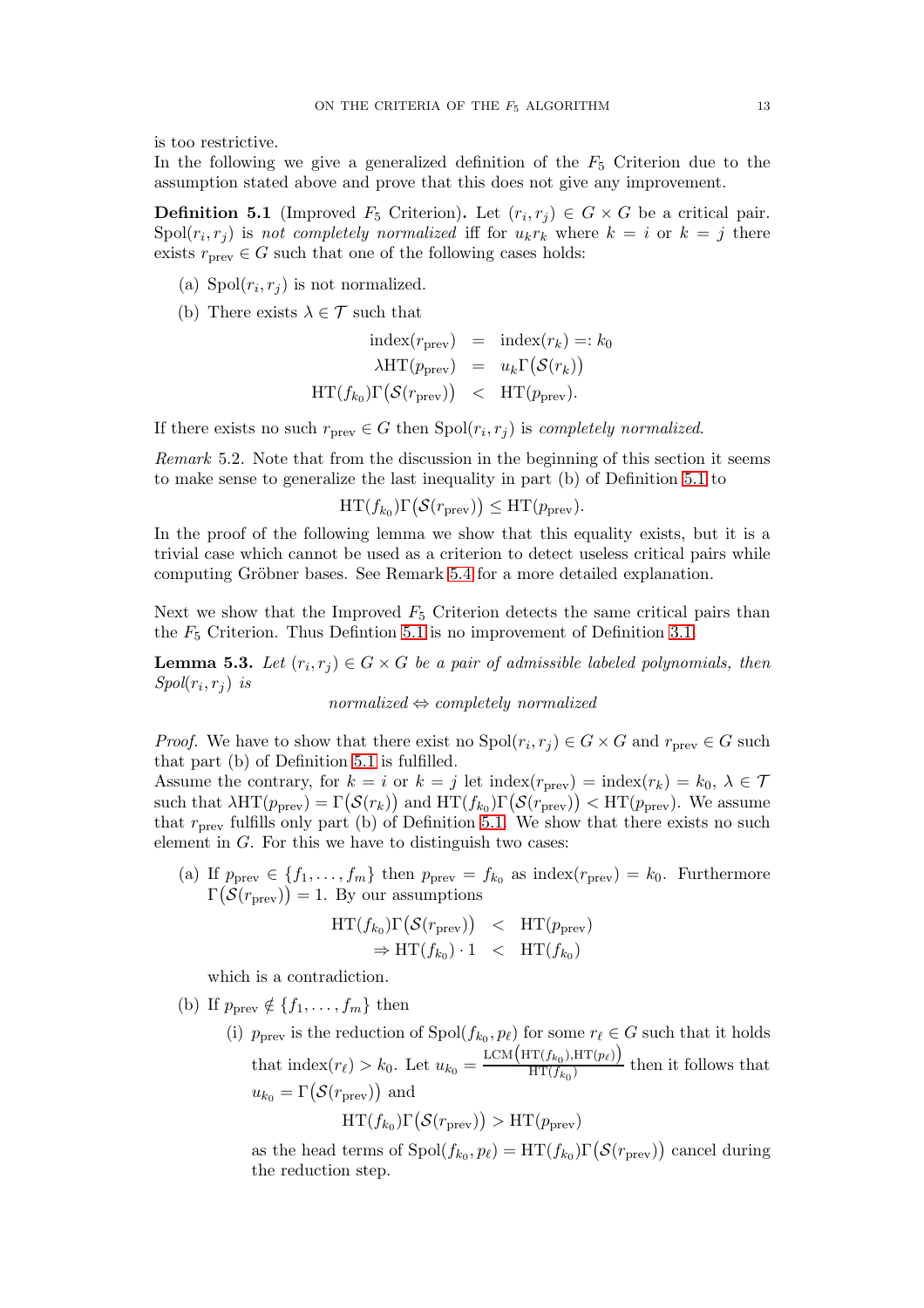is too restrictive.

In the following we give a generalized definition of the  $F_5$  Criterion due to the assumption stated above and prove that this does not give any improvement.

<span id="page-12-0"></span>**Definition 5.1** (Improved  $F_5$  Criterion). Let  $(r_i, r_j) \in G \times G$  be a critical pair.  $\text{Spol}(r_i, r_j)$  is not completely normalized iff for  $u_k r_k$  where  $k = i$  or  $k = j$  there exists  $r_{\text{prev}} \in G$  such that one of the following cases holds:

- (a)  $Spol(r_i, r_j)$  is not normalized.
- (b) There exists  $\lambda \in \mathcal{T}$  such that

$$
\text{index}(r_{\text{prev}}) = \text{index}(r_k) =: k_0
$$

$$
\lambda \text{HT}(p_{\text{prev}}) = u_k \Gamma(S(r_k))
$$

$$
\text{HT}(f_{k_0}) \Gamma(S(r_{\text{prev}})) < \text{HT}(p_{\text{prev}}).
$$

If there exists no such  $r_{\text{prev}} \in G$  then  $\text{Spol}(r_i, r_j)$  is *completely normalized*.

Remark 5.2. Note that from the discussion in the beginning of this section it seems to make sense to generalize the last inequality in part (b) of Definition [5.1](#page-12-0) to

$$
\mathrm{HT}(f_{k_0})\Gamma(\mathcal{S}(r_{\text{prev}})) \leq \mathrm{HT}(p_{\text{prev}}).
$$

In the proof of the following lemma we show that this equality exists, but it is a trivial case which cannot be used as a criterion to detect useless critical pairs while computing Gröbner bases. See Remark [5.4](#page-13-0) for a more detailed explanation.

Next we show that the Improved  $F_5$  Criterion detects the same critical pairs than the  $F_5$  Criterion. Thus Defintion [5.1](#page-12-0) is no improvement of Definition [3.1.](#page-4-2)

<span id="page-12-1"></span>**Lemma 5.3.** Let  $(r_i, r_j) \in G \times G$  be a pair of admissible labeled polynomials, then  $Spol(r_i, r_j)$  is

normalized  $\Leftrightarrow$  completely normalized

*Proof.* We have to show that there exist no  $Spol(r_i, r_j) \in G \times G$  and  $r_{prev} \in G$  such that part (b) of Definition [5.1](#page-12-0) is fulfilled.

Assume the contrary, for  $k = i$  or  $k = j$  let index( $r_{\text{prev}}$ ) = index( $r_k$ ) =  $k_0, \lambda \in \mathcal{T}$ such that  $\lambda\text{HT}(p_{\text{prev}}) = \Gamma(\mathcal{S}(r_k))$  and  $\text{HT}(f_{k_0})\Gamma(\mathcal{S}(r_{\text{prev}})) < \text{HT}(p_{\text{prev}})$ . We assume that  $r_{\text{prev}}$  fulfills only part (b) of Definition [5.1.](#page-12-0) We show that there exists no such element in  $G$ . For this we have to distinguish two cases:

(a) If  $p_{\text{prev}} \in \{f_1, \ldots, f_m\}$  then  $p_{\text{prev}} = f_{k_0}$  as index $(r_{\text{prev}}) = k_0$ . Furthermore  $\Gamma(\mathcal{S}(r_{\text{prev}})) = 1$ . By our assumptions

$$
HT(f_{k_0})\Gamma(S(r_{\text{prev}})) < HT(p_{\text{prev}})
$$
  
\n
$$
\Rightarrow HT(f_{k_0}) \cdot 1 < HT(f_{k_0})
$$

which is a contradiction.

- (b) If  $p_{\text{prev}} \notin \{f_1, \ldots, f_m\}$  then
	- (i)  $p_{\text{prev}}$  is the reduction of  $\text{Spol}(f_{k_0}, p_{\ell})$  for some  $r_{\ell} \in G$  such that it holds that index $(r_{\ell}) > k_0$ . Let  $u_{k_0} =$ LCM $(HT(f_{k_0}), HT(p_{\ell}))$  $\frac{H(\mathcal{F}_k(t),\mathcal{F}_k(t))}{H(\mathcal{F}_k(t))}$  then it follows that  $u_{k_0} = \Gamma(\mathcal{S}(r_{\text{prev}}))$  and

$$
HT(f_{k_0})\Gamma(\mathcal{S}(r_{\text{prev}})) > HT(p_{\text{prev}})
$$

as the head terms of  $\text{Spol}(f_{k_0}, p_\ell) = \text{HT}(f_{k_0}) \Gamma(\mathcal{S}(r_{\text{prev}}))$  cancel during the reduction step.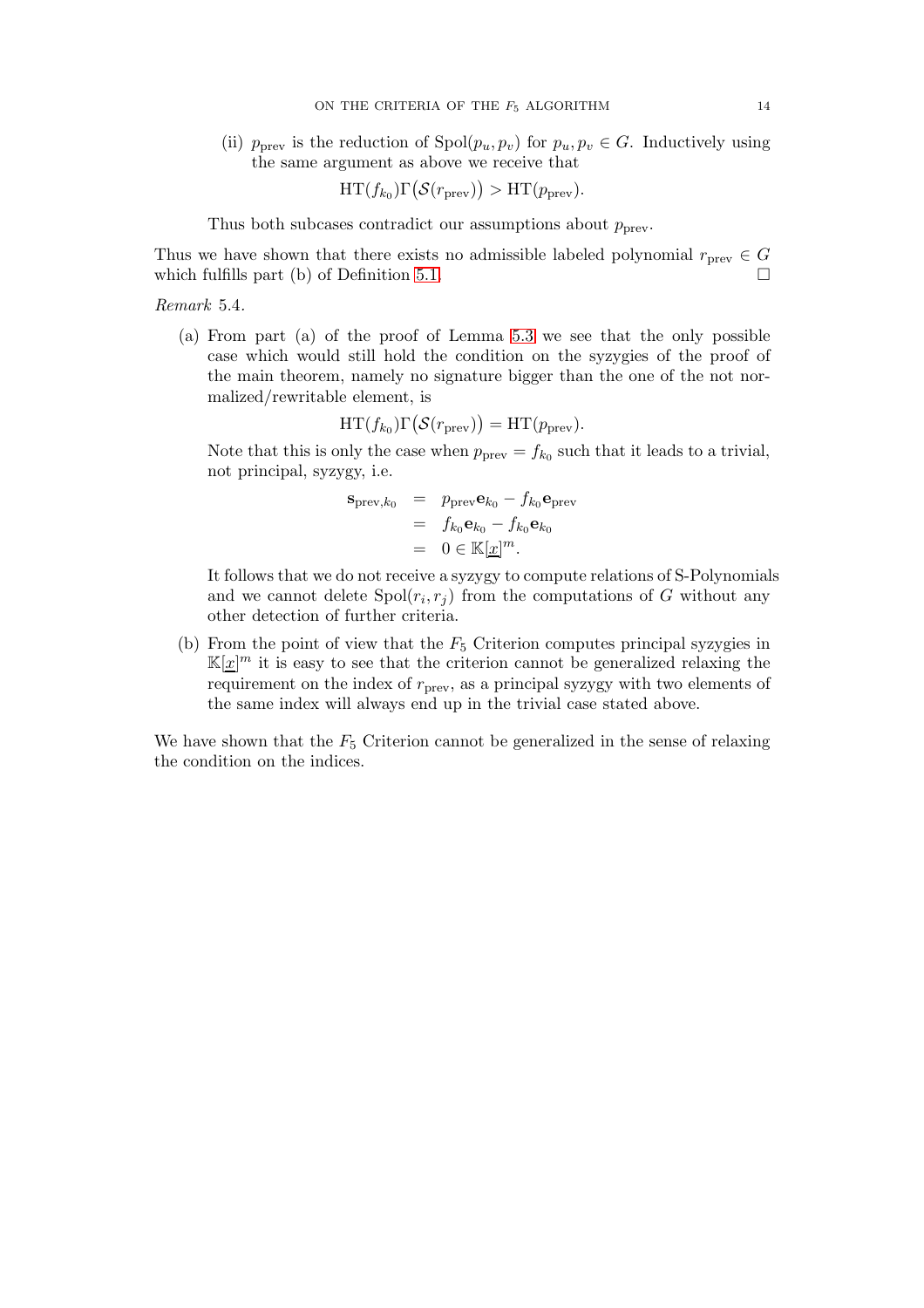(ii)  $p_{prev}$  is the reduction of  $Spol(p_u, p_v)$  for  $p_u, p_v \in G$ . Inductively using the same argument as above we receive that

$$
HT(f_{k_0})\Gamma(\mathcal{S}(r_{\text{prev}})) > HT(p_{\text{prev}}).
$$

Thus both subcases contradict our assumptions about  $p_{\text{prev}}$ .

Thus we have shown that there exists no admissible labeled polynomial  $r_{\text{prev}} \in G$ which fulfills part (b) of Definition [5.1.](#page-12-0)  $\Box$ 

<span id="page-13-0"></span>Remark 5.4.

(a) From part (a) of the proof of Lemma [5.3](#page-12-1) we see that the only possible case which would still hold the condition on the syzygies of the proof of the main theorem, namely no signature bigger than the one of the not normalized/rewritable element, is

$$
HT(f_{k_0})\Gamma(\mathcal{S}(r_{\text{prev}})) = HT(p_{\text{prev}}).
$$

Note that this is only the case when  $p_{\text{prev}} = f_{k_0}$  such that it leads to a trivial, not principal, syzygy, i.e.

$$
\begin{array}{rcl}\n\mathbf{s}_{\text{prev},k_0} & = & p_{\text{prev}} \mathbf{e}_{k_0} - f_{k_0} \mathbf{e}_{\text{prev}} \\
& = & f_{k_0} \mathbf{e}_{k_0} - f_{k_0} \mathbf{e}_{k_0} \\
& = & 0 \in \mathbb{K}[\underline{x}]^m.\n\end{array}
$$

It follows that we do not receive a syzygy to compute relations of S-Polynomials and we cannot delete  $Spol(r_i, r_j)$  from the computations of G without any other detection of further criteria.

(b) From the point of view that the  $F_5$  Criterion computes principal syzygies in  $K[\underline{x}]^m$  it is easy to see that the criterion cannot be generalized relaxing the requirement on the index of  $r_{\text{prev}}$ , as a principal syzygy with two elements of the same index will always end up in the trivial case stated above.

We have shown that the  $F_5$  Criterion cannot be generalized in the sense of relaxing the condition on the indices.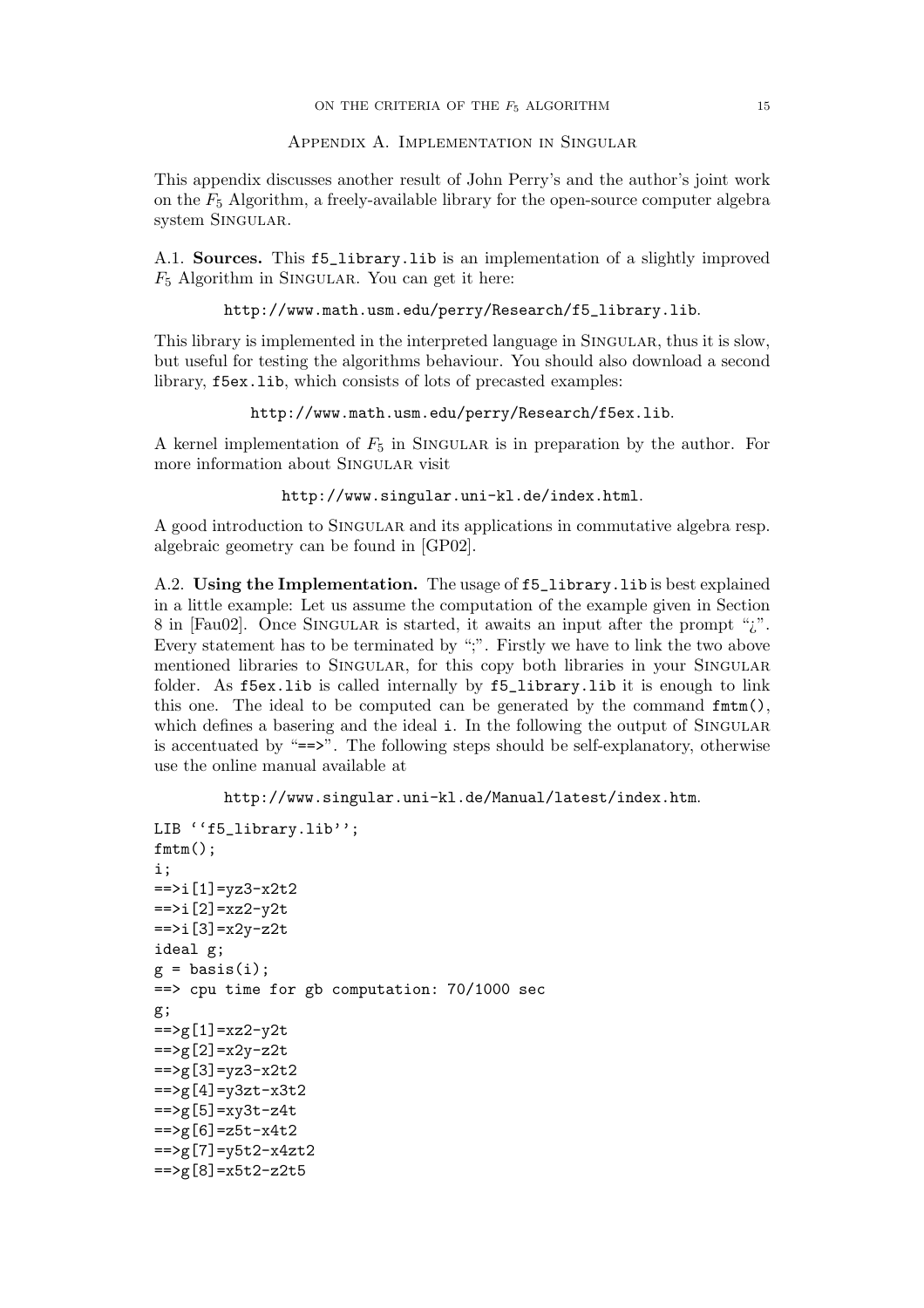# Appendix A. Implementation in Singular

This appendix discusses another result of John Perry's and the author's joint work on the  $F_5$  Algorithm, a freely-available library for the open-source computer algebra system SINGULAR.

A.1. Sources. This f5\_library.lib is an implementation of a slightly improved  $F_5$  Algorithm in SINGULAR. You can get it here:

http://www.math.usm.edu/perry/Research/f5\_library.lib.

This library is implemented in the interpreted language in SINGULAR, thus it is slow, but useful for testing the algorithms behaviour. You should also download a second library, f5ex.lib, which consists of lots of precasted examples:

http://www.math.usm.edu/perry/Research/f5ex.lib.

A kernel implementation of  $F_5$  in SINGULAR is in preparation by the author. For more information about Singular visit

http://www.singular.uni-kl.de/index.html.

A good introduction to Singular and its applications in commutative algebra resp. algebraic geometry can be found in [GP02].

A.2. Using the Implementation. The usage of f5\_library.lib is best explained in a little example: Let us assume the computation of the example given in Section 8 in [Fau02]. Once SINGULAR is started, it awaits an input after the prompt "*i*". Every statement has to be terminated by ";". Firstly we have to link the two above mentioned libraries to SINGULAR, for this copy both libraries in your SINGULAR folder. As f5ex.lib is called internally by f5\_library.lib it is enough to link this one. The ideal to be computed can be generated by the command fmtm(), which defines a basering and the ideal i. In the following the output of SINGULAR is accentuated by " $==$ ". The following steps should be self-explanatory, otherwise use the online manual available at

```
http://www.singular.uni-kl.de/Manual/latest/index.htm.
```

```
LIB ''f5_library.lib'';
fmtm();
i;
= \frac{1}{2} \frac{1}{2} \frac{1}{2} \frac{1}{2} \frac{1}{2} \frac{1}{2} \frac{1}{2}==i[2]=xz2-y2t=\frac{1}{3}=x2y-z2t
ideal g;
g = basis(i);==> cpu time for gb computation: 70/1000 sec
g;
=>g[1]=xz2-y2t=>g[2]=x2y-z2t
= >g [3] = yz3-x2t2= >g[4] = y3zt-x3t2=>g[5]=xy3t-z4t= >g[6] = z5t-x4t2=>g[7]=v5t2-x4zt2==>g[8]=x5t2-z2t5
```